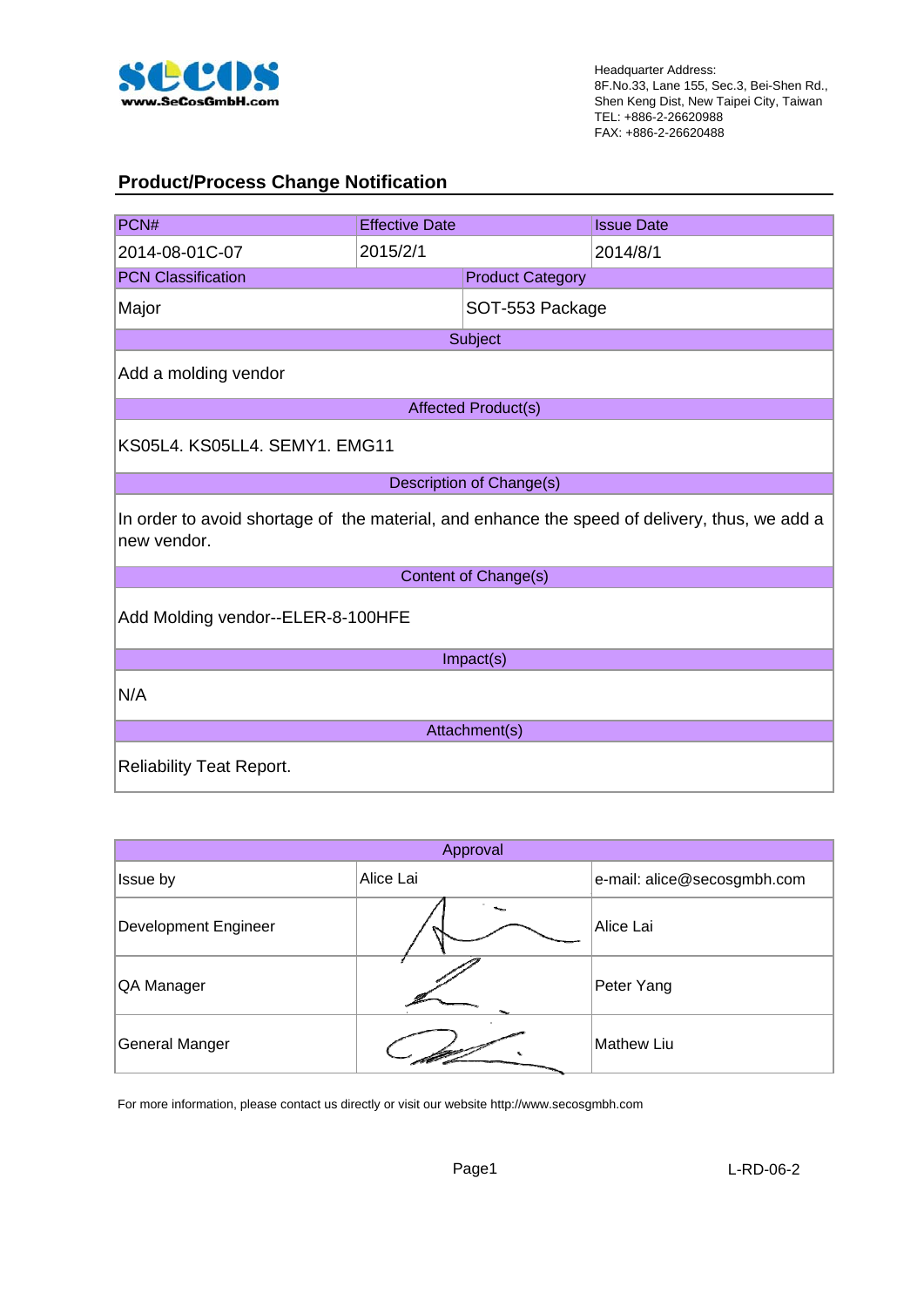

#### **Product/Process Change Notification**

| PCN#                                                                                                         | <b>Effective Date</b>             |                          | <b>Issue Date</b> |  |  |
|--------------------------------------------------------------------------------------------------------------|-----------------------------------|--------------------------|-------------------|--|--|
| 2014-08-01C-07                                                                                               | 2015/2/1                          |                          | 2014/8/1          |  |  |
| <b>PCN Classification</b>                                                                                    |                                   | <b>Product Category</b>  |                   |  |  |
| Major                                                                                                        |                                   | SOT-553 Package          |                   |  |  |
|                                                                                                              |                                   | Subject                  |                   |  |  |
| Add a molding vendor                                                                                         |                                   |                          |                   |  |  |
|                                                                                                              |                                   | Affected Product(s)      |                   |  |  |
| KS05L4, KS05LL4, SEMY1, EMG11                                                                                |                                   |                          |                   |  |  |
|                                                                                                              |                                   | Description of Change(s) |                   |  |  |
| In order to avoid shortage of the material, and enhance the speed of delivery, thus, we add a<br>new vendor. |                                   |                          |                   |  |  |
|                                                                                                              |                                   | Content of Change(s)     |                   |  |  |
|                                                                                                              | Add Molding vendor--ELER-8-100HFE |                          |                   |  |  |
|                                                                                                              | Impact(s)                         |                          |                   |  |  |
| N/A                                                                                                          |                                   |                          |                   |  |  |
| Attachment(s)                                                                                                |                                   |                          |                   |  |  |
| <b>Reliability Teat Report.</b>                                                                              |                                   |                          |                   |  |  |

| Approval                    |           |                             |  |  |
|-----------------------------|-----------|-----------------------------|--|--|
| Issue by                    | Alice Lai | e-mail: alice@secosgmbh.com |  |  |
| <b>Development Engineer</b> |           | Alice Lai                   |  |  |
| QA Manager                  |           | Peter Yang                  |  |  |
| General Manger              |           | <b>Mathew Liu</b>           |  |  |

For more information, please contact us directly or visit our website http://www.secosgmbh.com

Page1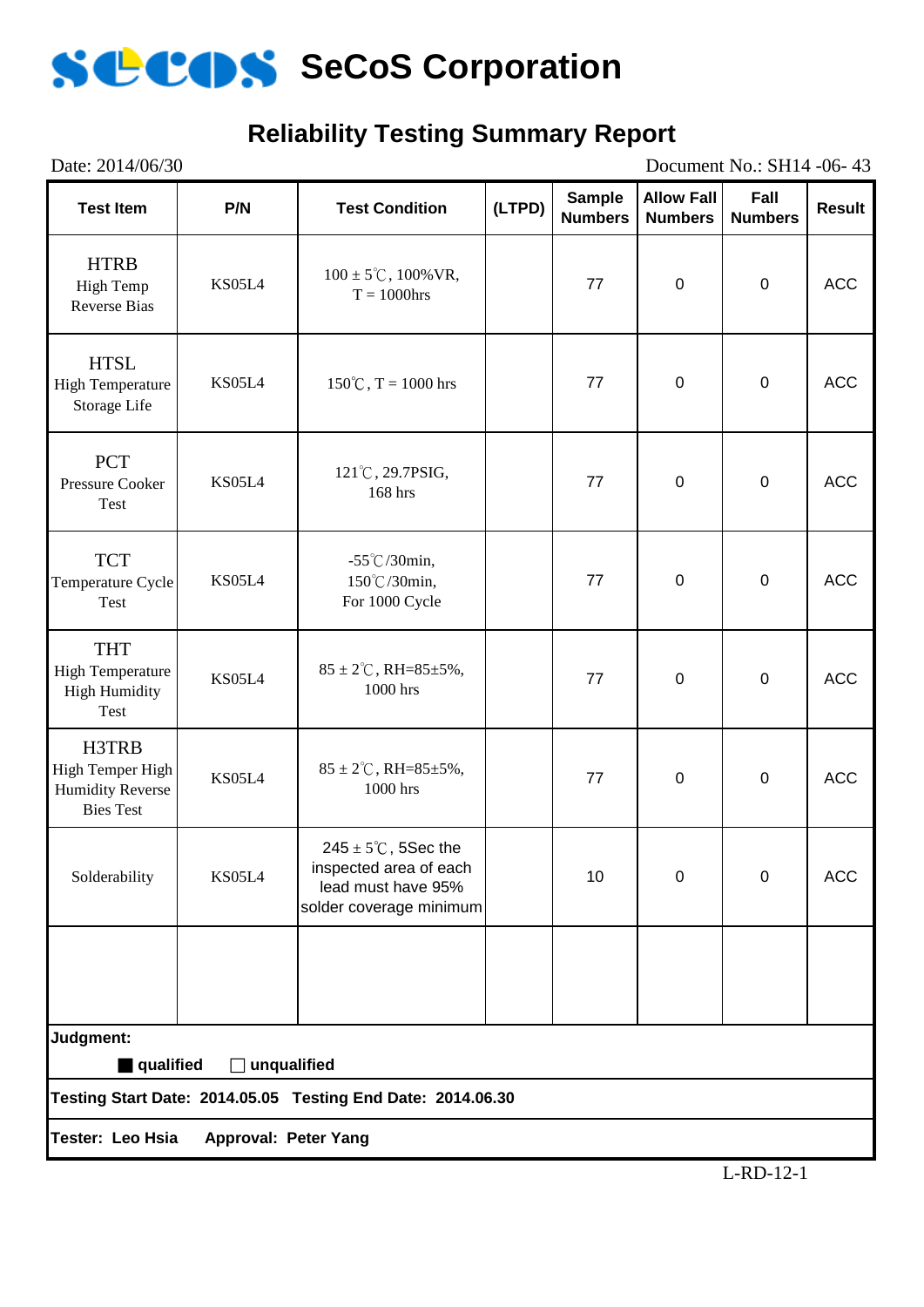

## **Reliability Testing Summary Report**

| Date: 2014/06/30<br>Document No.: SH14 -06-43                                                  |        |                                                                                                            |        |                                 |                                     |                        |               |
|------------------------------------------------------------------------------------------------|--------|------------------------------------------------------------------------------------------------------------|--------|---------------------------------|-------------------------------------|------------------------|---------------|
| <b>Test Item</b>                                                                               | P/N    | <b>Test Condition</b>                                                                                      | (LTPD) | <b>Sample</b><br><b>Numbers</b> | <b>Allow Fall</b><br><b>Numbers</b> | Fall<br><b>Numbers</b> | <b>Result</b> |
| <b>HTRB</b><br>High Temp<br><b>Reverse Bias</b>                                                | KS05L4 | $100 \pm 5^{\circ}$ C, $100\%$ VR,<br>$T = 1000$ hrs                                                       |        | 77                              | $\pmb{0}$                           | $\pmb{0}$              | <b>ACC</b>    |
| <b>HTSL</b><br><b>High Temperature</b><br>Storage Life                                         | KS05L4 | $150^{\circ}$ C, T = 1000 hrs                                                                              |        | 77                              | $\pmb{0}$                           | $\pmb{0}$              | <b>ACC</b>    |
| <b>PCT</b><br>Pressure Cooker<br>Test                                                          | KS05L4 | 121°C, 29.7PSIG,<br>168 hrs                                                                                |        | 77                              | $\pmb{0}$                           | $\pmb{0}$              | <b>ACC</b>    |
| <b>TCT</b><br>Temperature Cycle<br>Test                                                        | KS05L4 | $-55^{\circ}$ C/30min,<br>150°C/30min,<br>For 1000 Cycle                                                   |        | 77                              | $\pmb{0}$                           | $\pmb{0}$              | <b>ACC</b>    |
| <b>THT</b><br><b>High Temperature</b><br><b>High Humidity</b><br>Test                          | KS05L4 | $85 \pm 2^{\circ}$ C, RH= $85 \pm 5\%$ ,<br>1000 hrs                                                       |        | 77                              | $\pmb{0}$                           | $\pmb{0}$              | <b>ACC</b>    |
| H3TRB<br>High Temper High<br><b>Humidity Reverse</b><br><b>Bies Test</b>                       | KS05L4 | $85 \pm 2^{\circ}$ C, RH= $85 \pm 5\%$ ,<br>1000 hrs                                                       |        | 77                              | $\pmb{0}$                           | $\pmb{0}$              | <b>ACC</b>    |
| Solderability                                                                                  | KS05L4 | $245 \pm 5^{\circ}$ C, 5Sec the<br>inspected area of each<br>lead must have 95%<br>solder coverage minimum |        | 10                              | 0                                   | $\Omega$               | <b>ACC</b>    |
|                                                                                                |        |                                                                                                            |        |                                 |                                     |                        |               |
| Judgment:                                                                                      |        |                                                                                                            |        |                                 |                                     |                        |               |
| qualified<br>$\Box$ unqualified<br>Testing Start Date: 2014.05.05 Testing End Date: 2014.06.30 |        |                                                                                                            |        |                                 |                                     |                        |               |
|                                                                                                |        |                                                                                                            |        |                                 |                                     |                        |               |
| Tester: Leo Hsia<br>Approval: Peter Yang                                                       |        |                                                                                                            |        |                                 |                                     |                        |               |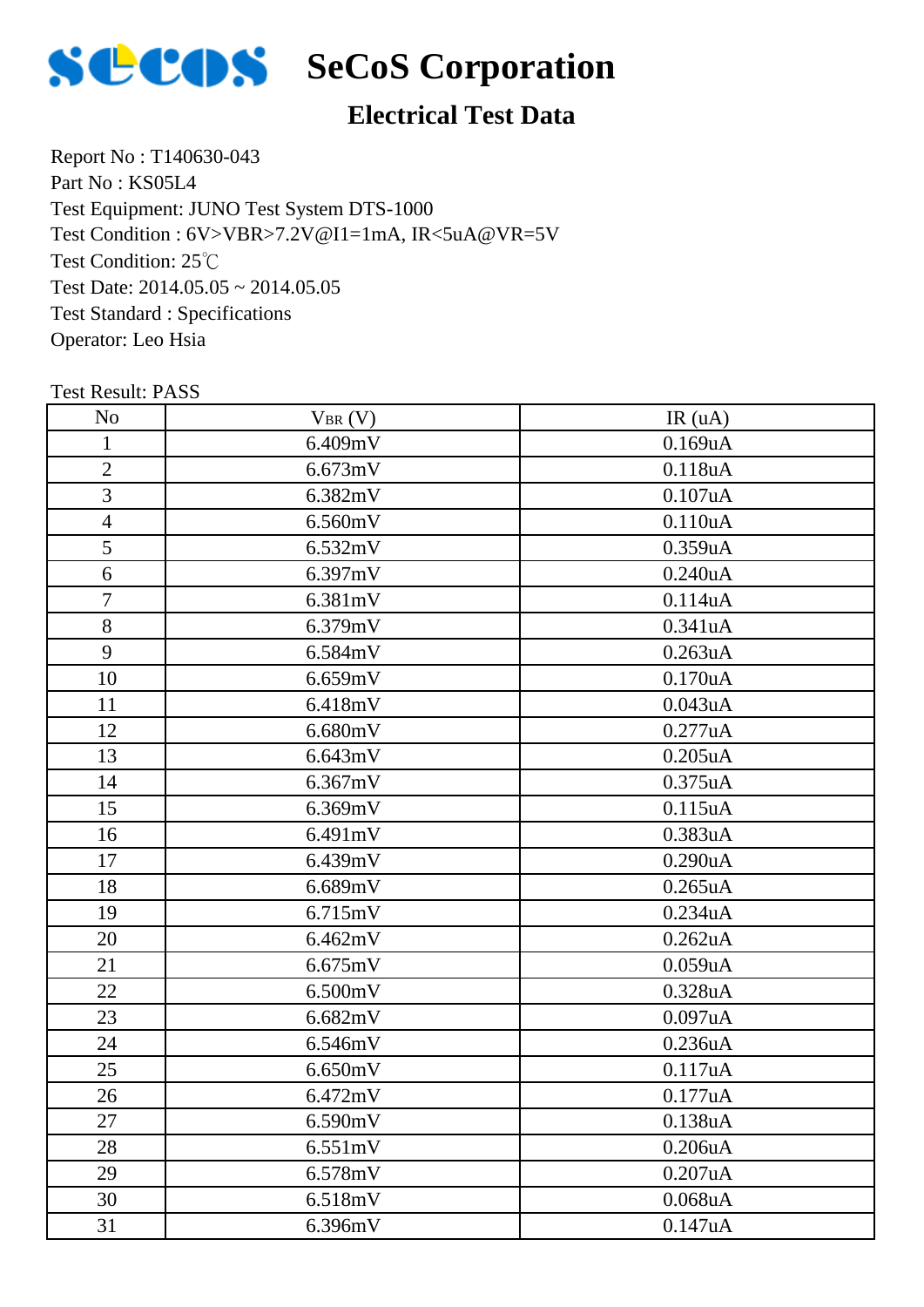

# **SCOS** SeCoS Corporation

## **Electrical Test Data**

Report No : T140630-043 Part No : KS05L4 Test Equipment: JUNO Test System DTS-1000 Test Condition: 25℃ Test Date: 2014.05.05 ~ 2014.05.05 Test Standard : Specifications Operator: Leo Hsia Test Condition : 6V>VBR>7.2V@I1=1mA, IR<5uA@VR=5V

| N <sub>o</sub> | $V_{BR}(V)$ | IR(uA)        |
|----------------|-------------|---------------|
| $\mathbf{1}$   | 6.409mV     | 0.169uA       |
| $\overline{2}$ | 6.673mV     | 0.118uA       |
| 3              | 6.382mV     | 0.107uA       |
| $\overline{4}$ | 6.560mV     | 0.110uA       |
| 5              | 6.532mV     | 0.359uA       |
| 6              | 6.397mV     | $0.240$ u $A$ |
| 7              | 6.381mV     | 0.114uA       |
| 8              | 6.379mV     | 0.341uA       |
| 9              | 6.584mV     | 0.263uA       |
| 10             | 6.659mV     | 0.170uA       |
| 11             | 6.418mV     | 0.043uA       |
| 12             | 6.680mV     | 0.277uA       |
| 13             | 6.643mV     | $0.205$ uA    |
| 14             | 6.367mV     | 0.375uA       |
| 15             | 6.369mV     | 0.115uA       |
| 16             | 6.491mV     | 0.383uA       |
| 17             | 6.439mV     | 0.290uA       |
| 18             | 6.689mV     | 0.265uA       |
| 19             | 6.715mV     | 0.234uA       |
| 20             | 6.462mV     | 0.262uA       |
| 21             | 6.675mV     | 0.059uA       |
| 22             | 6.500mV     | 0.328uA       |
| 23             | 6.682mV     | 0.097uA       |
| 24             | 6.546mV     | 0.236uA       |
| 25             | 6.650mV     | 0.117uA       |
| 26             | 6.472mV     | 0.177uA       |
| 27             | 6.590mV     | 0.138uA       |
| 28             | 6.551mV     | 0.206uA       |
| 29             | 6.578mV     | 0.207uA       |
| 30             | 6.518mV     | $0.068$ u $A$ |
| 31             | 6.396mV     | 0.147uA       |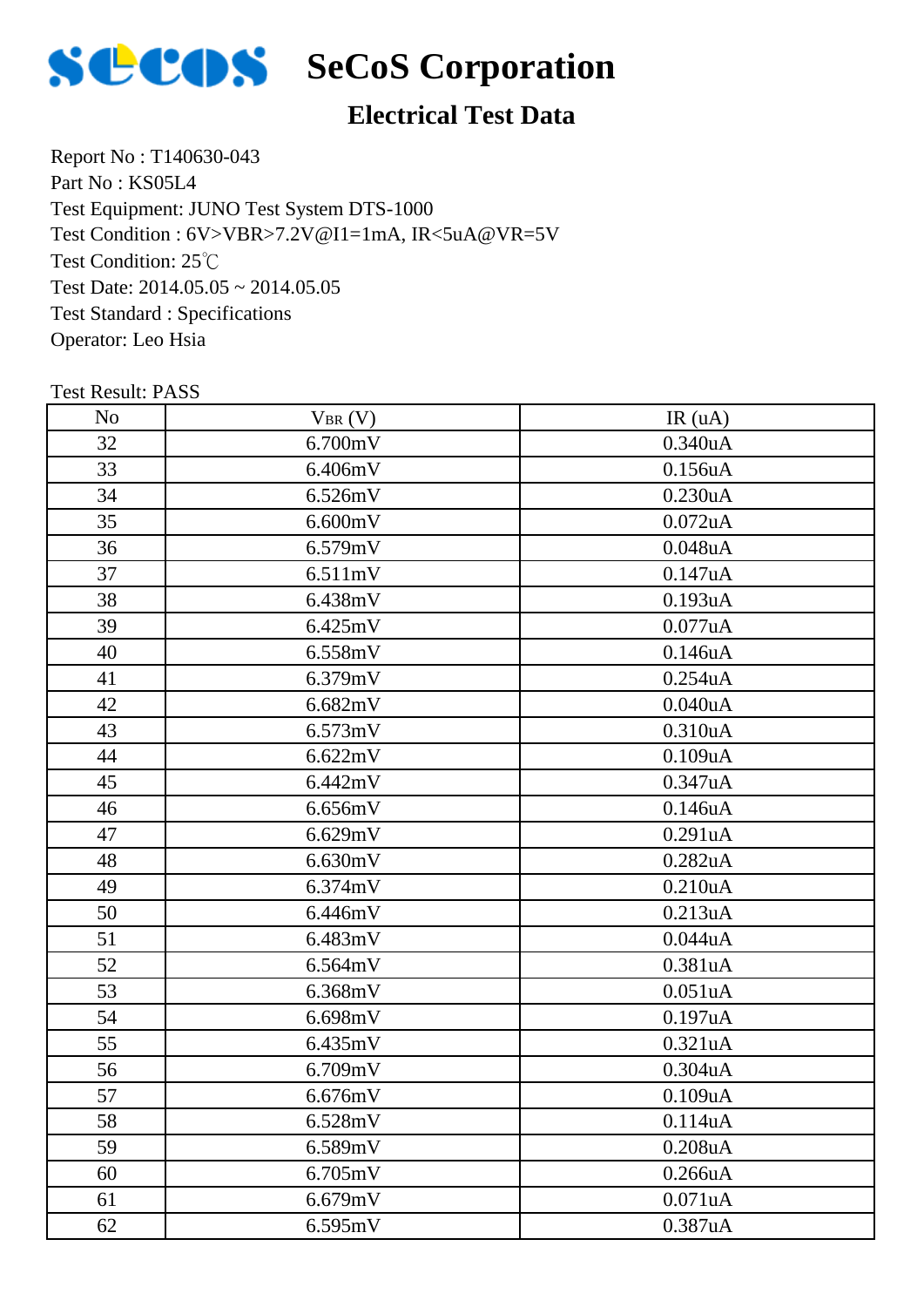

# **SCOS** SeCoS Corporation

## **Electrical Test Data**

Report No : T140630-043 Part No : KS05L4 Test Equipment: JUNO Test System DTS-1000 Test Condition: 25℃ Test Date: 2014.05.05 ~ 2014.05.05 Test Standard : Specifications Operator: Leo Hsia Test Condition : 6V>VBR>7.2V@I1=1mA, IR<5uA@VR=5V

| N <sub>o</sub> | $V_{BR}(V)$         | IR(uA)     |
|----------------|---------------------|------------|
| 32             | 6.700mV             | 0.340uA    |
| 33             | 6.406mV             | 0.156uA    |
| 34             | 6.526mV             | 0.230uA    |
| 35             | 6.600mV             | $0.072$ uA |
| 36             | 6.579mV             | 0.048uA    |
| 37             | 6.511mV             | 0.147uA    |
| 38             | 6.438mV             | 0.193uA    |
| 39             | 6.425mV             | 0.077uA    |
| 40             | 6.558mV             | 0.146uA    |
| 41             | 6.379mV             | 0.254uA    |
| 42             | 6.682mV             | 0.040uA    |
| 43             | 6.573mV             | 0.310uA    |
| 44             | 6.622mV             | 0.109uA    |
| 45             | 6.442mV             | 0.347uA    |
| 46             | 6.656mV             | 0.146uA    |
| 47             | 6.629mV             | 0.291uA    |
| 48             | 6.630mV             | 0.282uA    |
| 49             | 6.374mV             | 0.210uA    |
| 50             | 6.446mV             | 0.213uA    |
| 51             | 6.483mV             | 0.044uA    |
| 52             | 6.564mV             | 0.381uA    |
| 53             | 6.368mV             | 0.051uA    |
| 54             | 6.698mV             | 0.197uA    |
| 55             | 6.435mV             | 0.321uA    |
| 56             | 6.709mV             | 0.304uA    |
| 57             | 6.676mV             | 0.109uA    |
| 58             | 6.528mV             | 0.114uA    |
| 59             | 6.589mV             | 0.208uA    |
| 60             | $6.705 \mathrm{mV}$ | 0.266uA    |
| 61             | 6.679mV             | 0.071uA    |
| 62             | 6.595mV             | 0.387uA    |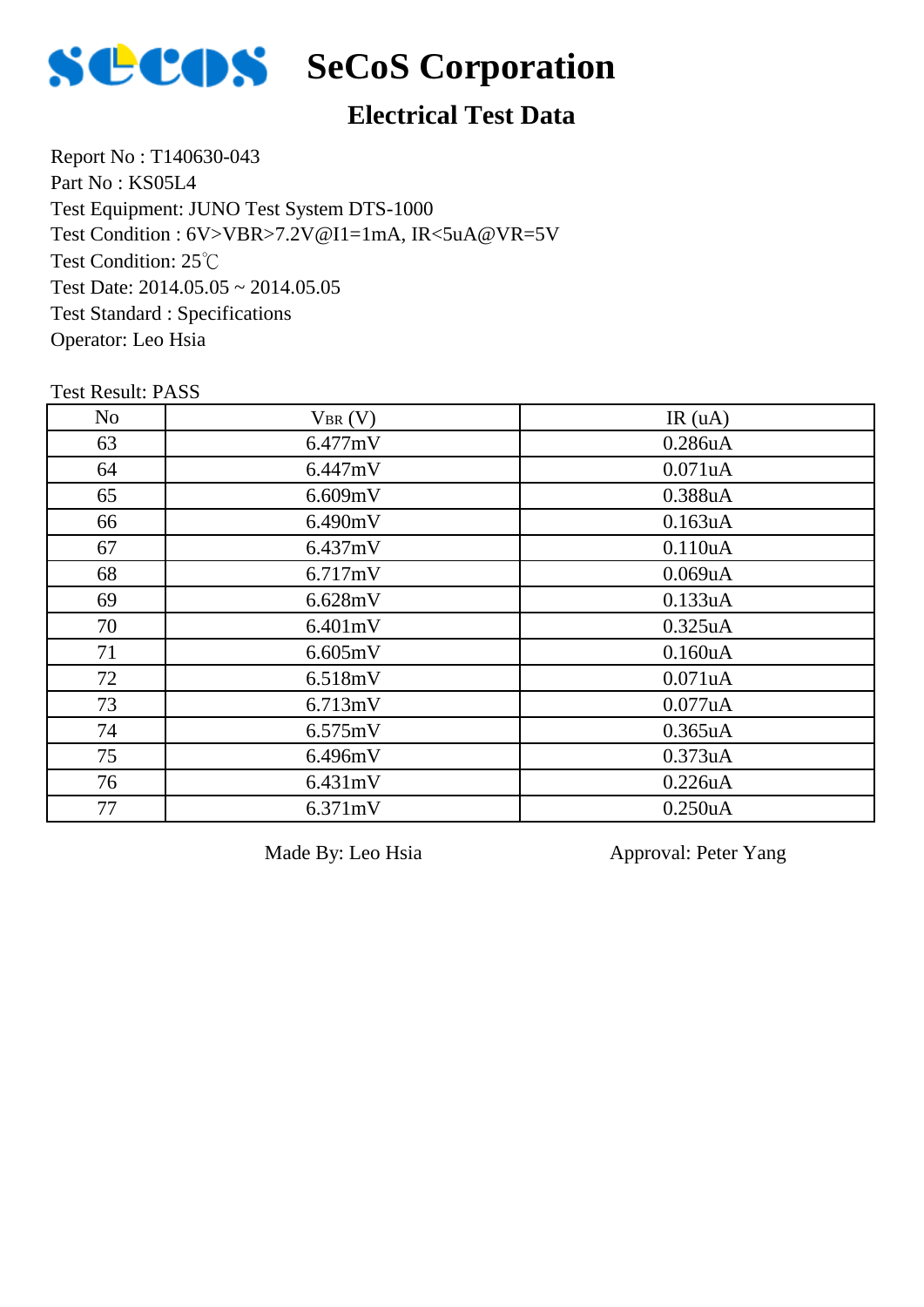

## **Electrical Test Data**

Report No : T140630-043 Part No : KS05L4 Test Equipment: JUNO Test System DTS-1000 Test Condition: 25℃ Test Date: 2014.05.05 ~ 2014.05.05 Test Standard : Specifications Operator: Leo Hsia Test Condition : 6V>VBR>7.2V@I1=1mA, IR<5uA@VR=5V

Test Result: PASS

| N <sub>o</sub> | $V_{BR}(V)$ | IR(uA)  |
|----------------|-------------|---------|
| 63             | 6.477mV     | 0.286uA |
| 64             | 6.447mV     | 0.071uA |
| 65             | 6.609mV     | 0.388uA |
| 66             | 6.490mV     | 0.163uA |
| 67             | 6.437mV     | 0.110uA |
| 68             | 6.717mV     | 0.069uA |
| 69             | 6.628mV     | 0.133uA |
| 70             | 6.401mV     | 0.325uA |
| 71             | 6.605mV     | 0.160uA |
| 72             | 6.518mV     | 0.071uA |
| 73             | 6.713mV     | 0.077uA |
| 74             | 6.575mV     | 0.365uA |
| 75             | 6.496mV     | 0.373uA |
| 76             | 6.431mV     | 0.226uA |
| 77             | 6.371mV     | 0.250uA |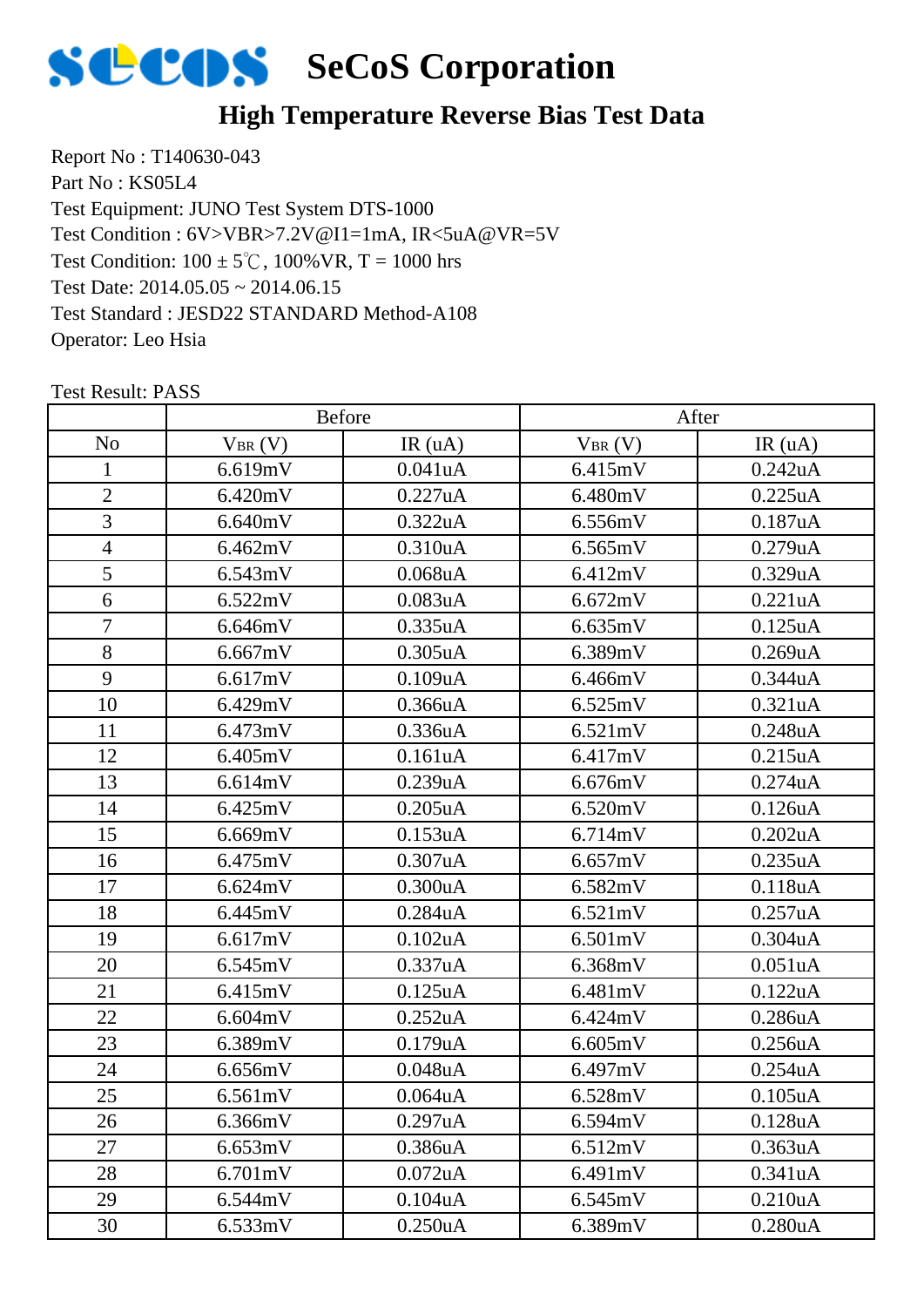

#### **High Temperature Reverse Bias Test Data**

Report No : T140630-043 Part No : KS05L4 Test Equipment: JUNO Test System DTS-1000 Test Condition:  $100 \pm 5^{\circ}$ C,  $100\%$  VR, T = 1000 hrs Test Date: 2014.05.05 ~ 2014.06.15 Test Standard : JESD22 STANDARD Method-A108 Operator: Leo Hsia Test Condition : 6V>VBR>7.2V@I1=1mA, IR<5uA@VR=5V

|                |             | <b>Before</b>        |             | After                |
|----------------|-------------|----------------------|-------------|----------------------|
| N <sub>o</sub> | $V_{BR}(V)$ | IR(uA)               | $V_{BR}(V)$ | IR(uA)               |
| 1              | 6.619mV     | 0.041uA              | 6.415mV     | 0.242uA              |
| $\overline{2}$ | 6.420mV     | 0.227uA              | 6.480mV     | 0.225uA              |
| 3              | 6.640mV     | 0.322uA              | 6.556mV     | 0.187uA              |
| $\overline{4}$ | 6.462mV     | 0.310uA              | 6.565mV     | 0.279uA              |
| $\overline{5}$ | 6.543mV     | $0.068$ u $A$        | 6.412mV     | 0.329uA              |
| 6              | 6.522mV     | 0.083uA              | 6.672mV     | 0.221uA              |
| $\overline{7}$ | 6.646mV     | 0.335uA              | 6.635mV     | 0.125uA              |
| 8              | 6.667mV     | $0.305$ uA           | 6.389mV     | 0.269uA              |
| 9              | 6.617mV     | 0.109uA              | 6.466mV     | 0.344uA              |
| 10             | 6.429mV     | 0.366uA              | 6.525mV     | 0.321uA              |
| 11             | 6.473mV     | 0.336 <sub>u</sub> A | 6.521mV     | 0.248uA              |
| 12             | 6.405mV     | 0.161uA              | 6.417mV     | 0.215uA              |
| 13             | 6.614mV     | 0.239uA              | 6.676mV     | 0.274uA              |
| 14             | 6.425mV     | $0.205$ uA           | 6.520mV     | 0.126uA              |
| 15             | 6.669mV     | 0.153uA              | 6.714mV     | 0.202uA              |
| 16             | 6.475mV     | 0.307uA              | 6.657mV     | 0.235uA              |
| 17             | 6.624mV     | 0.300uA              | 6.582mV     | 0.118uA              |
| 18             | 6.445mV     | 0.284uA              | 6.521mV     | 0.257uA              |
| 19             | 6.617mV     | $0.102$ uA           | 6.501mV     | 0.304uA              |
| 20             | 6.545mV     | 0.337uA              | 6.368mV     | 0.051uA              |
| 21             | 6.415mV     | $0.125$ uA           | 6.481mV     | 0.122uA              |
| 22             | 6.604mV     | 0.252uA              | 6.424mV     | 0.286uA              |
| 23             | 6.389mV     | 0.179uA              | 6.605mV     | 0.256uA              |
| 24             | 6.656mV     | $0.048$ u $A$        | 6.497mV     | 0.254uA              |
| 25             | 6.561mV     | 0.064uA              | 6.528mV     | 0.105uA              |
| 26             | 6.366mV     | 0.297uA              | 6.594mV     | 0.128 <sub>u</sub> A |
| 27             | 6.653mV     | 0.386uA              | 6.512mV     | 0.363uA              |
| 28             | 6.701mV     | $0.072$ uA           | 6.491mV     | 0.341uA              |
| 29             | 6.544mV     | 0.104uA              | 6.545mV     | 0.210uA              |
| 30             | 6.533mV     | 0.250uA              | 6.389mV     | 0.280uA              |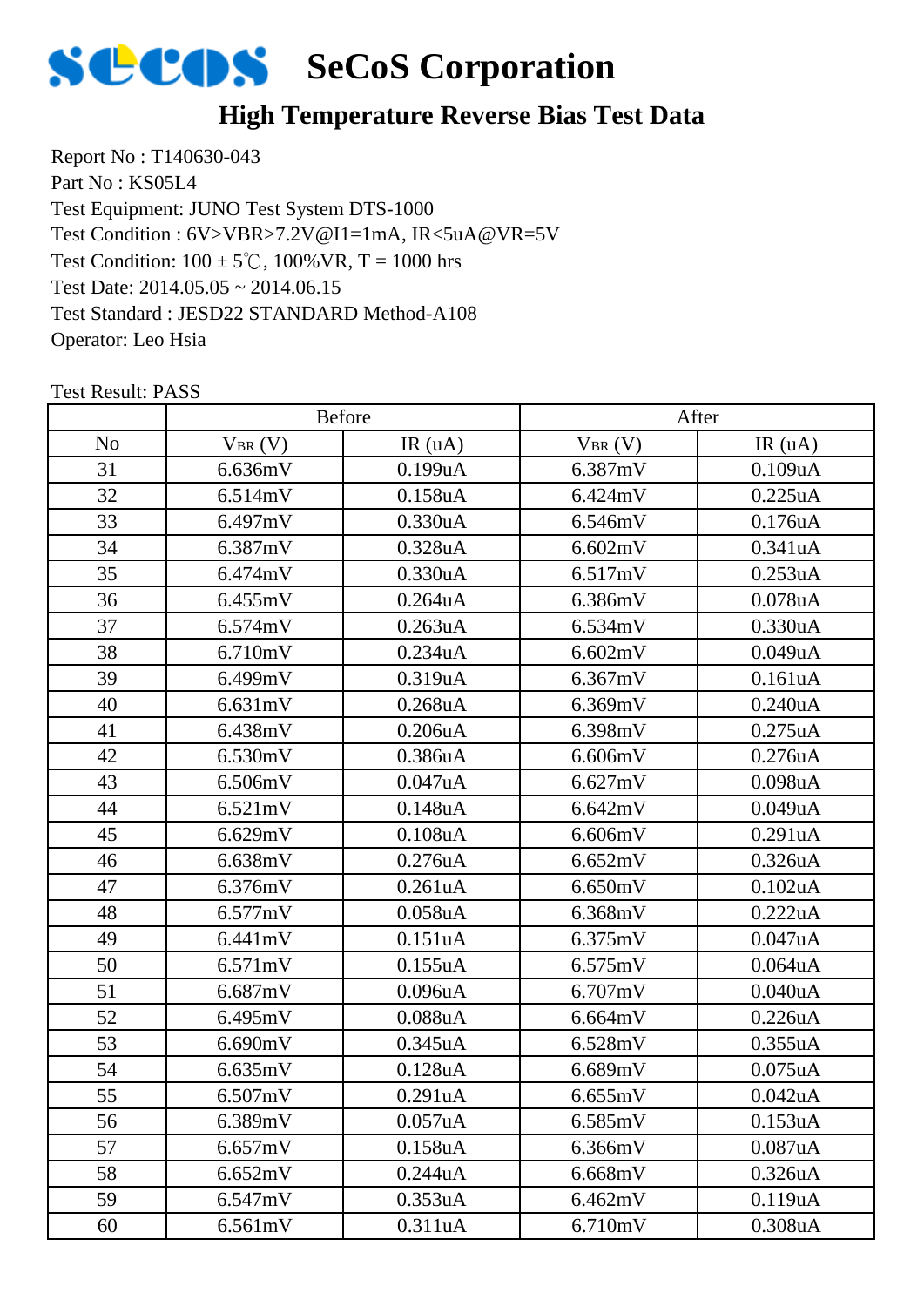

## **High Temperature Reverse Bias Test Data**

Report No : T140630-043 Part No : KS05L4 Test Equipment: JUNO Test System DTS-1000 Test Condition:  $100 \pm 5^{\circ}$ C,  $100\%$  VR, T = 1000 hrs Test Date: 2014.05.05 ~ 2014.06.15 Test Standard : JESD22 STANDARD Method-A108 Operator: Leo Hsia Test Condition : 6V>VBR>7.2V@I1=1mA, IR<5uA@VR=5V

|                |             | Before        |             | After         |
|----------------|-------------|---------------|-------------|---------------|
| N <sub>o</sub> | $V_{BR}(V)$ | IR(uA)        | $V_{BR}(V)$ | IR(uA)        |
| 31             | 6.636mV     | 0.199uA       | 6.387mV     | 0.109uA       |
| 32             | 6.514mV     | 0.158uA       | 6.424mV     | 0.225uA       |
| 33             | 6.497mV     | 0.330uA       | 6.546mV     | 0.176uA       |
| 34             | 6.387mV     | 0.328uA       | 6.602mV     | 0.341uA       |
| 35             | 6.474mV     | 0.330uA       | 6.517mV     | 0.253uA       |
| 36             | 6.455mV     | $0.264$ uA    | 6.386mV     | $0.078$ u $A$ |
| 37             | 6.574mV     | 0.263uA       | 6.534mV     | 0.330uA       |
| 38             | 6.710mV     | 0.234uA       | 6.602mV     | 0.049uA       |
| 39             | 6.499mV     | 0.319uA       | 6.367mV     | 0.161uA       |
| 40             | 6.631mV     | $0.268$ uA    | 6.369mV     | 0.240uA       |
| 41             | 6.438mV     | 0.206uA       | 6.398mV     | 0.275uA       |
| 42             | 6.530mV     | 0.386uA       | 6.606mV     | 0.276uA       |
| 43             | 6.506mV     | 0.047uA       | 6.627mV     | 0.098uA       |
| 44             | 6.521mV     | 0.148uA       | 6.642mV     | 0.049uA       |
| 45             | 6.629mV     | $0.108$ u $A$ | 6.606mV     | 0.291uA       |
| 46             | 6.638mV     | 0.276uA       | 6.652mV     | 0.326uA       |
| 47             | 6.376mV     | 0.261uA       | 6.650mV     | 0.102uA       |
| 48             | 6.577mV     | $0.058$ u $A$ | 6.368mV     | 0.222uA       |
| 49             | 6.441mV     | 0.151uA       | 6.375mV     | 0.047uA       |
| 50             | 6.571mV     | 0.155uA       | 6.575mV     | 0.064uA       |
| 51             | 6.687mV     | 0.096uA       | 6.707mV     | 0.040uA       |
| 52             | 6.495mV     | $0.088$ u $A$ | 6.664mV     | 0.226uA       |
| 53             | 6.690mV     | 0.345uA       | 6.528mV     | 0.355uA       |
| 54             | 6.635mV     | 0.128uA       | 6.689mV     | $0.075$ uA    |
| 55             | 6.507mV     | 0.291uA       | 6.655mV     | 0.042uA       |
| 56             | 6.389mV     | 0.057uA       | 6.585mV     | 0.153uA       |
| 57             | 6.657mV     | 0.158uA       | 6.366mV     | 0.087uA       |
| 58             | 6.652mV     | 0.244uA       | 6.668mV     | 0.326uA       |
| 59             | 6.547mV     | 0.353uA       | 6.462mV     | 0.119uA       |
| 60             | 6.561mV     | 0.311uA       | 6.710mV     | 0.308uA       |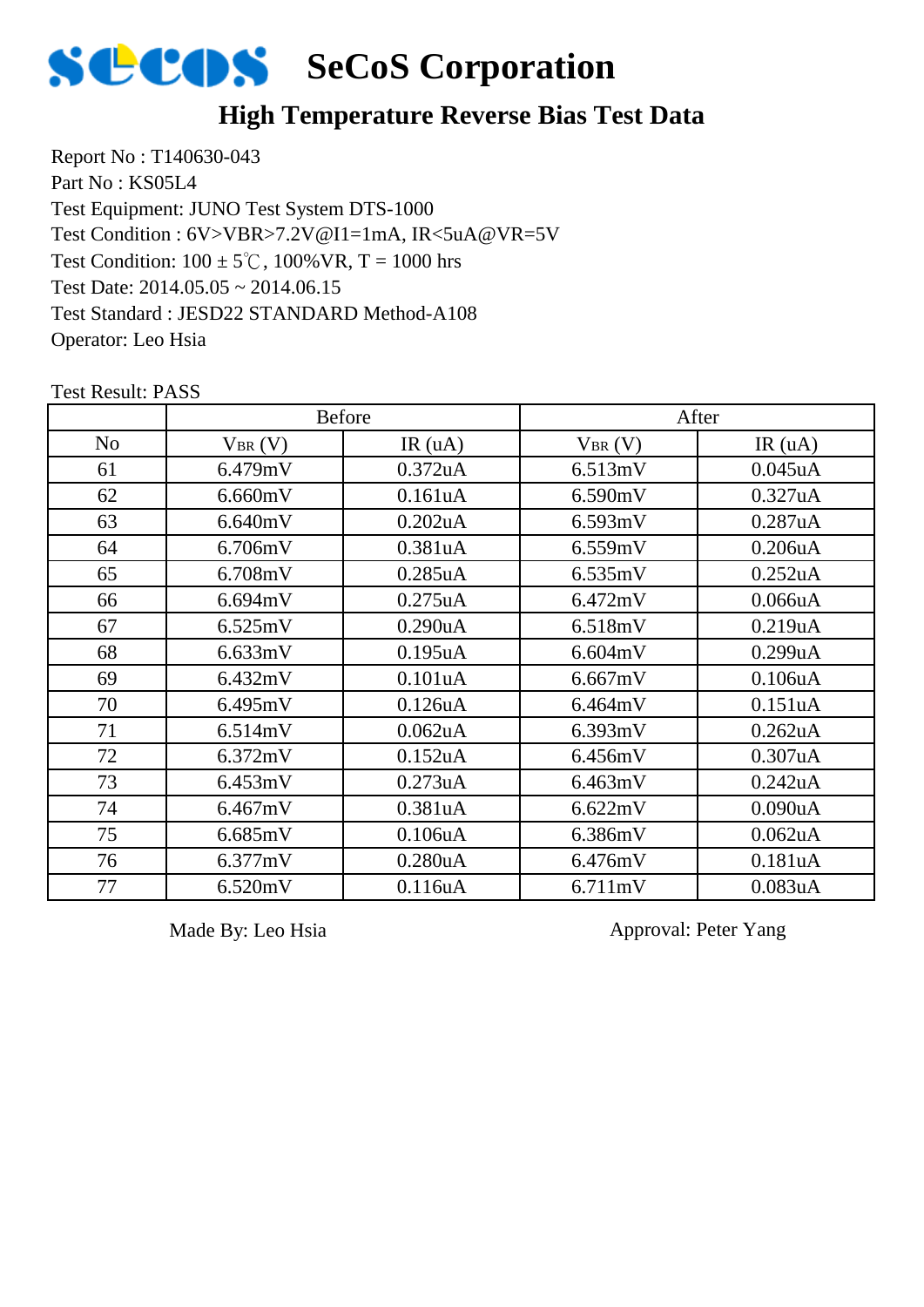

#### **High Temperature Reverse Bias Test Data**

Report No : T140630-043 Part No : KS05L4 Test Equipment: JUNO Test System DTS-1000 Test Condition:  $100 \pm 5^{\circ}$ C,  $100\%$  VR, T = 1000 hrs Test Date: 2014.05.05 ~ 2014.06.15 Test Standard : JESD22 STANDARD Method-A108 Operator: Leo Hsia Test Condition : 6V>VBR>7.2V@I1=1mA, IR<5uA@VR=5V

No  $V_{BR}(V)$  IR (uA)  $V_{BR}(V)$  IR (uA) Before After 61 6.479mV 0.372uA 6.513mV 0.045uA 62 | 6.660mV | 0.161uA | 6.590mV | 0.327uA 63 6.640mV 0.202uA 6.593mV 0.287uA 64 6.706mV 0.381uA 6.559mV 0.206uA 65 6.708mV 0.285uA 6.535mV 0.252uA 66 | 6.694mV | 0.275uA | 6.472mV | 0.066uA 67 6.525mV 0.290uA 6.518mV 0.219uA 68 | 6.633mV | 0.195uA | 6.604mV | 0.299uA 69 | 6.432mV | 0.101uA | 6.667mV | 0.106uA 70 | 6.495mV | 0.126uA | 6.464mV | 0.151uA 71 | 6.514mV | 0.062uA | 6.393mV | 0.262uA 72 | 6.372mV | 0.152uA | 6.456mV | 0.307uA 73 6.453mV 0.273uA 6.463mV 0.242uA 74 6.467mV 0.381uA 6.622mV 0.090uA 75 | 6.685mV | 0.106uA | 6.386mV | 0.062uA 76 6.377mV 0.280uA 6.476mV 0.181uA 77 | 6.520mV | 0.116uA | 6.711mV | 0.083uA

Test Result: PASS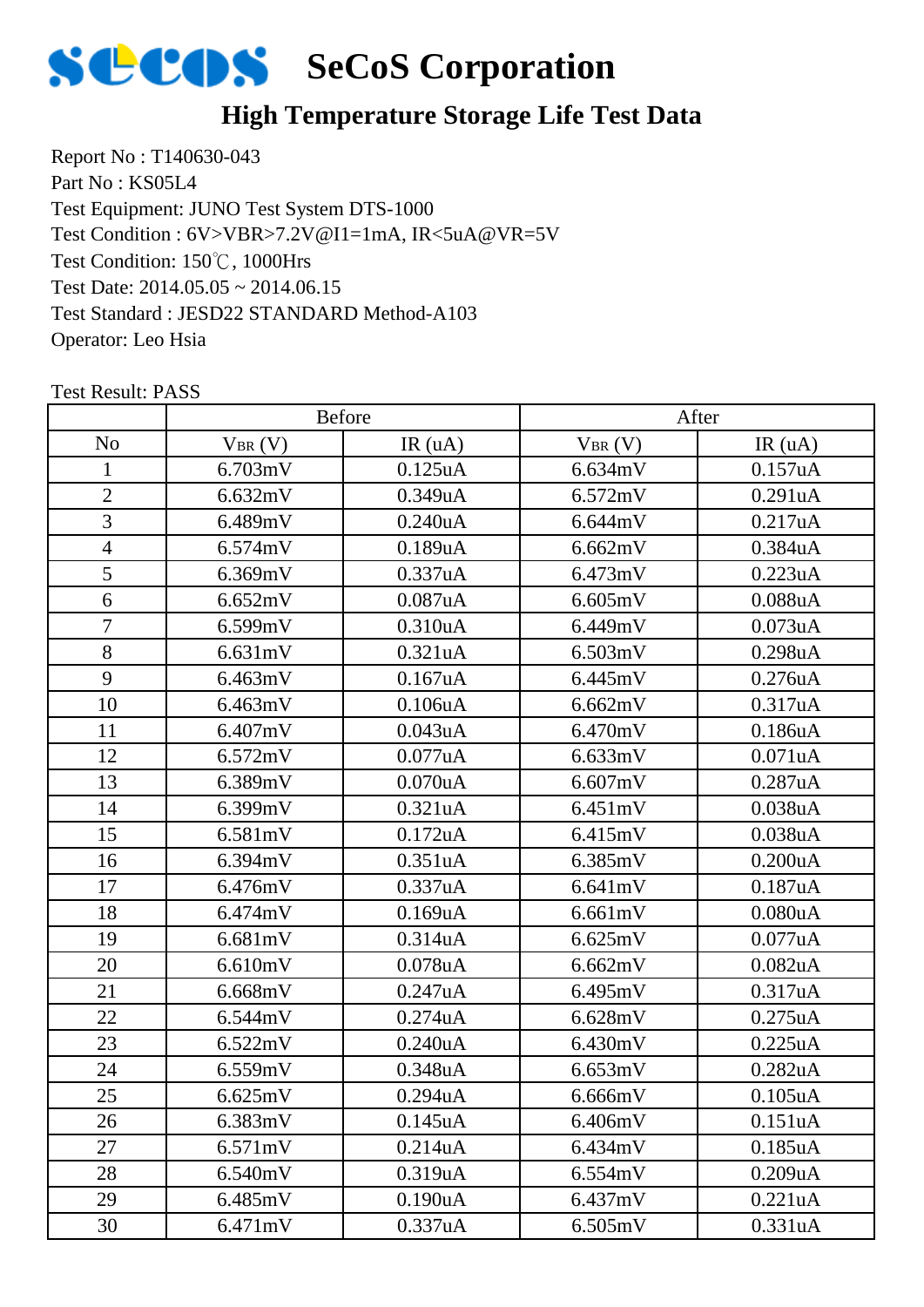

## **High Temperature Storage Life Test Data**

Report No : T140630-043 Part No : KS05L4 Test Equipment: JUNO Test System DTS-1000 Test Condition: 150℃, 1000Hrs Test Date: 2014.05.05 ~ 2014.06.15 Test Standard : JESD22 STANDARD Method-A103 Operator: Leo Hsia Test Condition : 6V>VBR>7.2V@I1=1mA, IR<5uA@VR=5V

|                | Before      |                      | After       |                      |
|----------------|-------------|----------------------|-------------|----------------------|
| N <sub>o</sub> | $V_{BR}(V)$ | IR(uA)               | $V_{BR}(V)$ | IR(uA)               |
| 1              | 6.703mV     | $0.125$ uA           | 6.634mV     | 0.157uA              |
| $\overline{2}$ | 6.632mV     | 0.349uA              | 6.572mV     | 0.291uA              |
| 3              | 6.489mV     | $0.240$ uA           | 6.644mV     | 0.217uA              |
| $\overline{4}$ | 6.574mV     | 0.189uA              | 6.662mV     | 0.384uA              |
| 5              | 6.369mV     | 0.337uA              | 6.473mV     | 0.223uA              |
| 6              | 6.652mV     | 0.087uA              | 6.605mV     | 0.088uA              |
| $\overline{7}$ | 6.599mV     | 0.310uA              | 6.449mV     | 0.073uA              |
| 8              | 6.631mV     | 0.321uA              | 6.503mV     | 0.298uA              |
| 9              | 6.463mV     | 0.167uA              | 6.445mV     | 0.276uA              |
| 10             | 6.463mV     | 0.106uA              | 6.662mV     | 0.317uA              |
| 11             | 6.407mV     | 0.043uA              | 6.470mV     | 0.186uA              |
| 12             | 6.572mV     | 0.077uA              | 6.633mV     | 0.071uA              |
| 13             | 6.389mV     | $0.070$ u $A$        | 6.607mV     | 0.287uA              |
| 14             | 6.399mV     | 0.321uA              | 6.451mV     | 0.038uA              |
| 15             | 6.581mV     | 0.172uA              | 6.415mV     | 0.038uA              |
| 16             | 6.394mV     | 0.351uA              | 6.385mV     | 0.200uA              |
| 17             | 6.476mV     | 0.337uA              | 6.641mV     | 0.187uA              |
| 18             | 6.474mV     | 0.169uA              | 6.661mV     | 0.080uA              |
| 19             | 6.681mV     | 0.314uA              | 6.625mV     | 0.077uA              |
| 20             | 6.610mV     | $0.078$ u $A$        | 6.662mV     | 0.082uA              |
| 21             | 6.668mV     | 0.247uA              | 6.495mV     | 0.317uA              |
| 22             | 6.544mV     | 0.274uA              | 6.628mV     | $0.275$ uA           |
| 23             | 6.522mV     | 0.240uA              | 6.430mV     | 0.225uA              |
| 24             | 6.559mV     | 0.348uA              | 6.653mV     | 0.282uA              |
| 25             | 6.625mV     | 0.294uA              | 6.666mV     | 0.105 <sub>u</sub> A |
| 26             | 6.383mV     | 0.145 <sub>u</sub> A | 6.406mV     | 0.151uA              |
| 27             | 6.571mV     | 0.214uA              | 6.434mV     | 0.185uA              |
| 28             | 6.540mV     | 0.319uA              | 6.554mV     | 0.209uA              |
| 29             | 6.485mV     | 0.190uA              | 6.437mV     | 0.221uA              |
| 30             | 6.471mV     | 0.337uA              | 6.505mV     | 0.331uA              |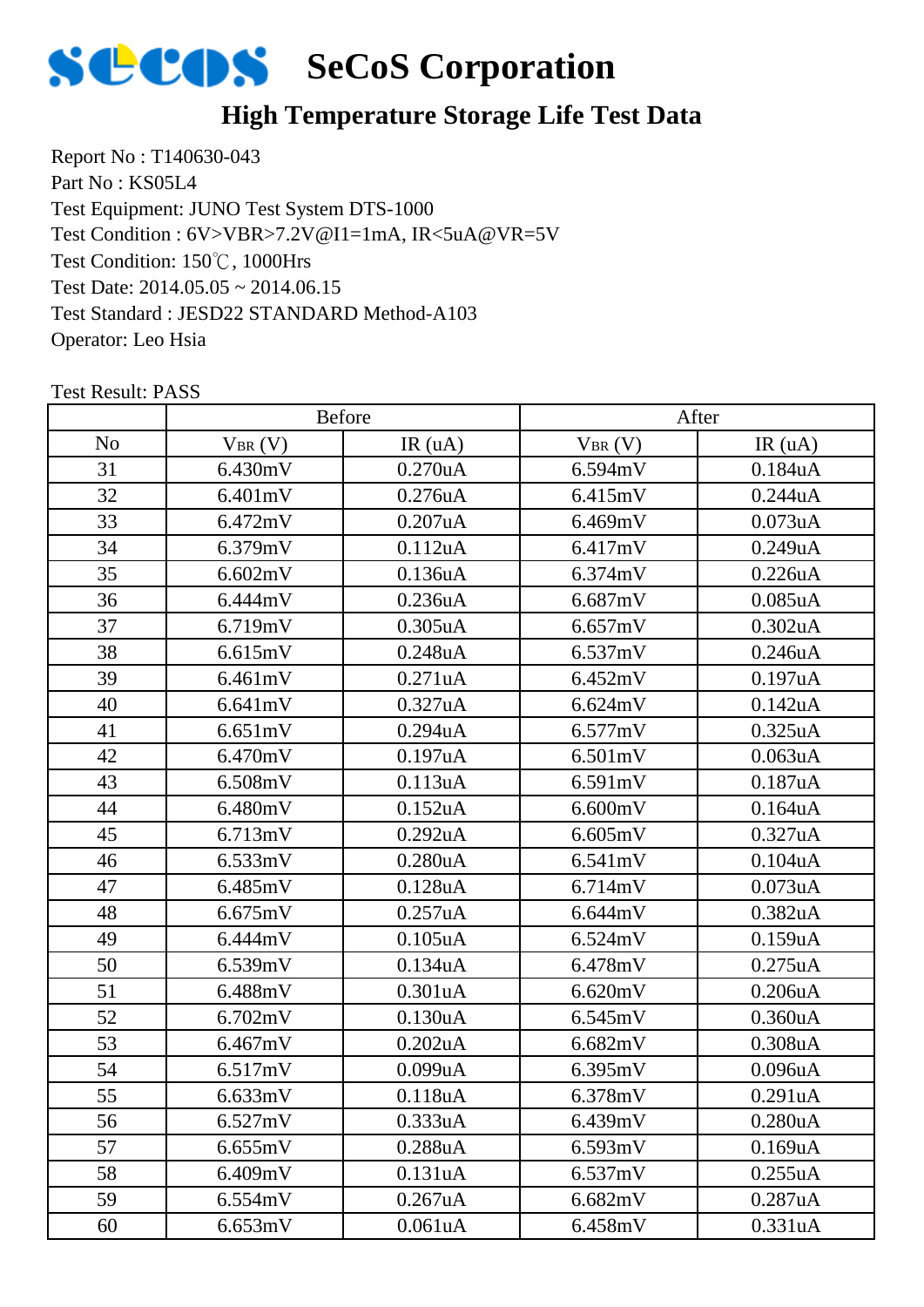

## **High Temperature Storage Life Test Data**

Report No : T140630-043 Part No : KS05L4 Test Equipment: JUNO Test System DTS-1000 Test Condition: 150℃, 1000Hrs Test Date: 2014.05.05 ~ 2014.06.15 Test Standard : JESD22 STANDARD Method-A103 Operator: Leo Hsia Test Condition : 6V>VBR>7.2V@I1=1mA, IR<5uA@VR=5V

|                |             | <b>Before</b>        |             | After      |  |
|----------------|-------------|----------------------|-------------|------------|--|
| N <sub>o</sub> | $V_{BR}(V)$ | IR(uA)               | $V_{BR}(V)$ | IR(uA)     |  |
| 31             | 6.430mV     | $0.270$ u $A$        | 6.594mV     | 0.184uA    |  |
| 32             | 6.401mV     | 0.276uA              | 6.415mV     | 0.244uA    |  |
| 33             | 6.472mV     | 0.207uA              | 6.469mV     | 0.073uA    |  |
| 34             | 6.379mV     | 0.112uA              | 6.417mV     | 0.249uA    |  |
| 35             | 6.602mV     | 0.136uA              | 6.374mV     | 0.226uA    |  |
| 36             | 6.444mV     | 0.236uA              | 6.687mV     | $0.085$ uA |  |
| 37             | 6.719mV     | $0.305$ uA           | 6.657mV     | 0.302uA    |  |
| 38             | 6.615mV     | 0.248uA              | 6.537mV     | 0.246uA    |  |
| 39             | 6.461mV     | 0.271uA              | 6.452mV     | 0.197uA    |  |
| 40             | 6.641mV     | 0.327uA              | 6.624mV     | 0.142uA    |  |
| 41             | 6.651mV     | $0.294$ u $A$        | 6.577mV     | 0.325uA    |  |
| 42             | 6.470mV     | 0.197uA              | 6.501mV     | 0.063uA    |  |
| 43             | 6.508mV     | 0.113uA              | 6.591mV     | 0.187uA    |  |
| 44             | 6.480mV     | $0.152$ uA           | 6.600mV     | 0.164uA    |  |
| 45             | 6.713mV     | 0.292uA              | 6.605mV     | 0.327uA    |  |
| 46             | 6.533mV     | 0.280 <sub>u</sub> A | 6.541mV     | 0.104uA    |  |
| 47             | 6.485mV     | 0.128uA              | 6.714mV     | 0.073uA    |  |
| 48             | 6.675mV     | 0.257uA              | 6.644mV     | 0.382uA    |  |
| 49             | 6.444mV     | $0.105$ uA           | 6.524mV     | 0.159uA    |  |
| 50             | 6.539mV     | 0.134uA              | 6.478mV     | 0.275uA    |  |
| 51             | 6.488mV     | 0.301uA              | 6.620mV     | 0.206uA    |  |
| 52             | 6.702mV     | 0.130uA              | 6.545mV     | 0.360uA    |  |
| 53             | 6.467mV     | 0.202uA              | 6.682mV     | 0.308uA    |  |
| 54             | 6.517mV     | 0.099uA              | 6.395mV     | 0.096uA    |  |
| 55             | 6.633mV     | 0.118uA              | 6.378mV     | 0.291uA    |  |
| 56             | 6.527mV     | 0.333uA              | 6.439mV     | 0.280uA    |  |
| 57             | 6.655mV     | 0.288uA              | 6.593mV     | 0.169uA    |  |
| 58             | 6.409mV     | 0.131uA              | 6.537mV     | 0.255uA    |  |
| 59             | 6.554mV     | 0.267uA              | 6.682mV     | 0.287uA    |  |
| 60             | 6.653mV     | 0.061uA              | 6.458mV     | 0.331uA    |  |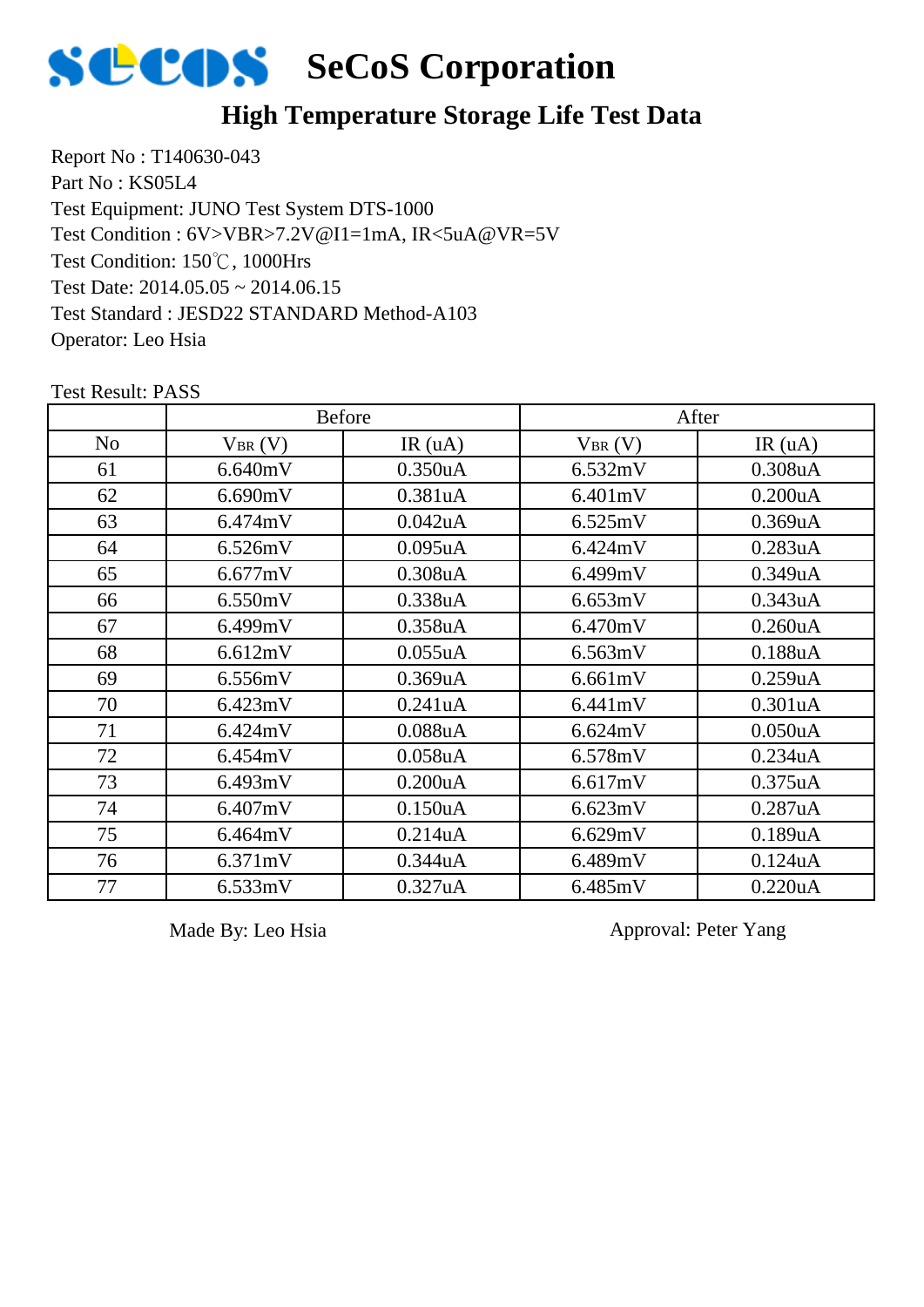

#### **High Temperature Storage Life Test Data**

Report No : T140630-043 Part No : KS05L4 Test Equipment: JUNO Test System DTS-1000 Test Condition: 150℃, 1000Hrs Test Date: 2014.05.05 ~ 2014.06.15 Test Standard : JESD22 STANDARD Method-A103 Operator: Leo Hsia Test Condition : 6V>VBR>7.2V@I1=1mA, IR<5uA@VR=5V

|                | <b>Before</b> |                      | After       |                      |
|----------------|---------------|----------------------|-------------|----------------------|
| N <sub>o</sub> | $V_{BR}(V)$   | IR(uA)               | $V_{BR}(V)$ | IR(uA)               |
| 61             | 6.640mV       | 0.350 <sub>u</sub> A | 6.532mV     | 0.308 <sub>u</sub> A |
| 62             | 6.690mV       | 0.381uA              | 6.401mV     | 0.200uA              |
| 63             | 6.474mV       | 0.042uA              | 6.525mV     | 0.369uA              |
| 64             | 6.526mV       | $0.095$ uA           | 6.424mV     | 0.283uA              |
| 65             | 6.677mV       | 0.308 <sub>u</sub> A | 6.499mV     | 0.349uA              |
| 66             | 6.550mV       | 0.338uA              | 6.653mV     | 0.343uA              |
| 67             | 6.499mV       | 0.358uA              | 6.470mV     | 0.260 <sub>u</sub> A |
| 68             | 6.612mV       | 0.055uA              | 6.563mV     | $0.188$ u $A$        |
| 69             | 6.556mV       | 0.369uA              | 6.661mV     | 0.259uA              |
| 70             | 6.423mV       | 0.241uA              | 6.441mV     | 0.301uA              |
| 71             | 6.424mV       | $0.088$ u $A$        | 6.624mV     | 0.050 <sub>u</sub> A |
| 72             | 6.454mV       | $0.058$ u $A$        | 6.578mV     | 0.234uA              |
| 73             | 6.493mV       | 0.200uA              | 6.617mV     | $0.375$ uA           |
| 74             | 6.407mV       | 0.150 <sub>u</sub> A | 6.623mV     | 0.287uA              |
| 75             | 6.464mV       | 0.214uA              | 6.629mV     | 0.189uA              |
| 76             | 6.371mV       | 0.344uA              | 6.489mV     | 0.124uA              |
| 77             | 6.533mV       | 0.327uA              | 6.485mV     | 0.220uA              |

Test Result: PASS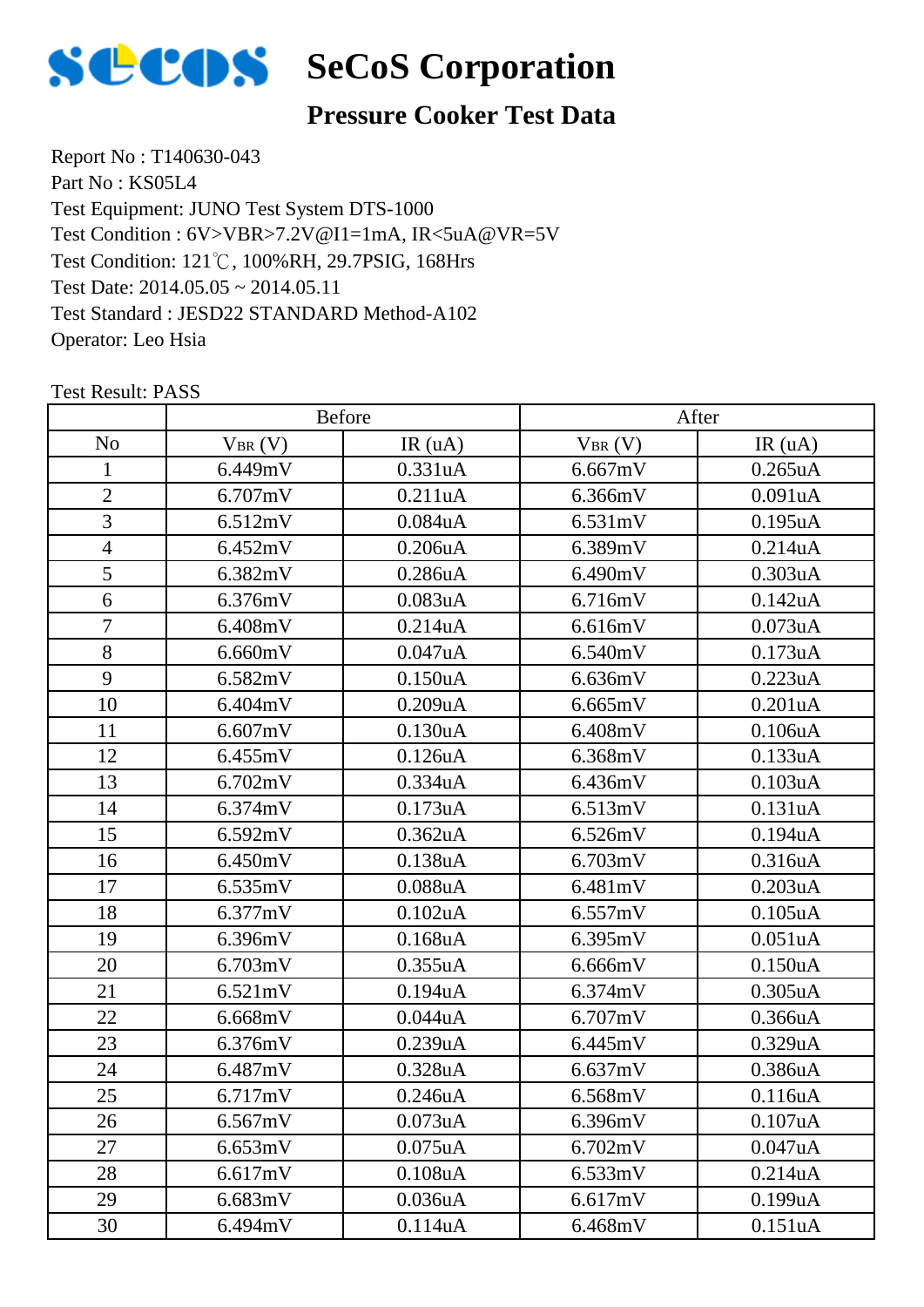

#### **Pressure Cooker Test Data**

Report No : T140630-043 Part No : KS05L4 Test Equipment: JUNO Test System DTS-1000 Test Condition: 121℃, 100%RH, 29.7PSIG, 168Hrs Test Date: 2014.05.05 ~ 2014.05.11 Test Standard : JESD22 STANDARD Method-A102 Operator: Leo Hsia Test Condition : 6V>VBR>7.2V@I1=1mA, IR<5uA@VR=5V

|                | <b>Before</b> |                      | After       |               |
|----------------|---------------|----------------------|-------------|---------------|
| N <sub>o</sub> | $V_{BR}(V)$   | IR(uA)               | $V_{BR}(V)$ | IR(uA)        |
| 1              | 6.449mV       | 0.331uA              | 6.667mV     | 0.265uA       |
| $\overline{2}$ | 6.707mV       | 0.211uA              | 6.366mV     | 0.091uA       |
| 3              | 6.512mV       | 0.084uA              | 6.531mV     | 0.195uA       |
| $\overline{4}$ | 6.452mV       | 0.206uA              | 6.389mV     | 0.214uA       |
| 5              | 6.382mV       | 0.286uA              | 6.490mV     | 0.303uA       |
| 6              | 6.376mV       | 0.083uA              | 6.716mV     | 0.142uA       |
| $\tau$         | 6.408mV       | 0.214uA              | 6.616mV     | 0.073uA       |
| 8              | 6.660mV       | 0.047uA              | 6.540mV     | 0.173uA       |
| 9              | 6.582mV       | 0.150uA              | 6.636mV     | 0.223uA       |
| 10             | 6.404mV       | 0.209uA              | 6.665mV     | 0.201uA       |
| 11             | 6.607mV       | 0.130 <sub>u</sub> A | 6.408mV     | 0.106uA       |
| 12             | 6.455mV       | 0.126uA              | 6.368mV     | 0.133uA       |
| 13             | 6.702mV       | 0.334uA              | 6.436mV     | 0.103uA       |
| 14             | 6.374mV       | 0.173uA              | 6.513mV     | 0.131uA       |
| 15             | 6.592mV       | 0.362 <sub>u</sub> A | 6.526mV     | 0.194uA       |
| 16             | 6.450mV       | 0.138uA              | 6.703mV     | 0.316uA       |
| 17             | 6.535mV       | $0.088$ u $A$        | 6.481mV     | 0.203uA       |
| 18             | 6.377mV       | $0.102$ u $A$        | 6.557mV     | $0.105$ u $A$ |
| 19             | 6.396mV       | $0.168$ u $A$        | 6.395mV     | 0.051uA       |
| 20             | 6.703mV       | 0.355uA              | 6.666mV     | 0.150uA       |
| 21             | 6.521mV       | 0.194uA              | 6.374mV     | 0.305uA       |
| 22             | 6.668mV       | 0.044uA              | 6.707mV     | 0.366uA       |
| 23             | 6.376mV       | 0.239uA              | 6.445mV     | 0.329uA       |
| 24             | 6.487mV       | 0.328uA              | 6.637mV     | 0.386uA       |
| 25             | 6.717mV       | 0.246uA              | 6.568mV     | 0.116uA       |
| 26             | 6.567mV       | 0.073uA              | 6.396mV     | 0.107uA       |
| 27             | 6.653mV       | $0.075$ uA           | 6.702mV     | 0.047uA       |
| 28             | 6.617mV       | 0.108uA              | 6.533mV     | 0.214uA       |
| 29             | 6.683mV       | 0.036 <sub>u</sub> A | 6.617mV     | 0.199uA       |
| 30             | 6.494mV       | 0.114uA              | 6.468mV     | 0.151uA       |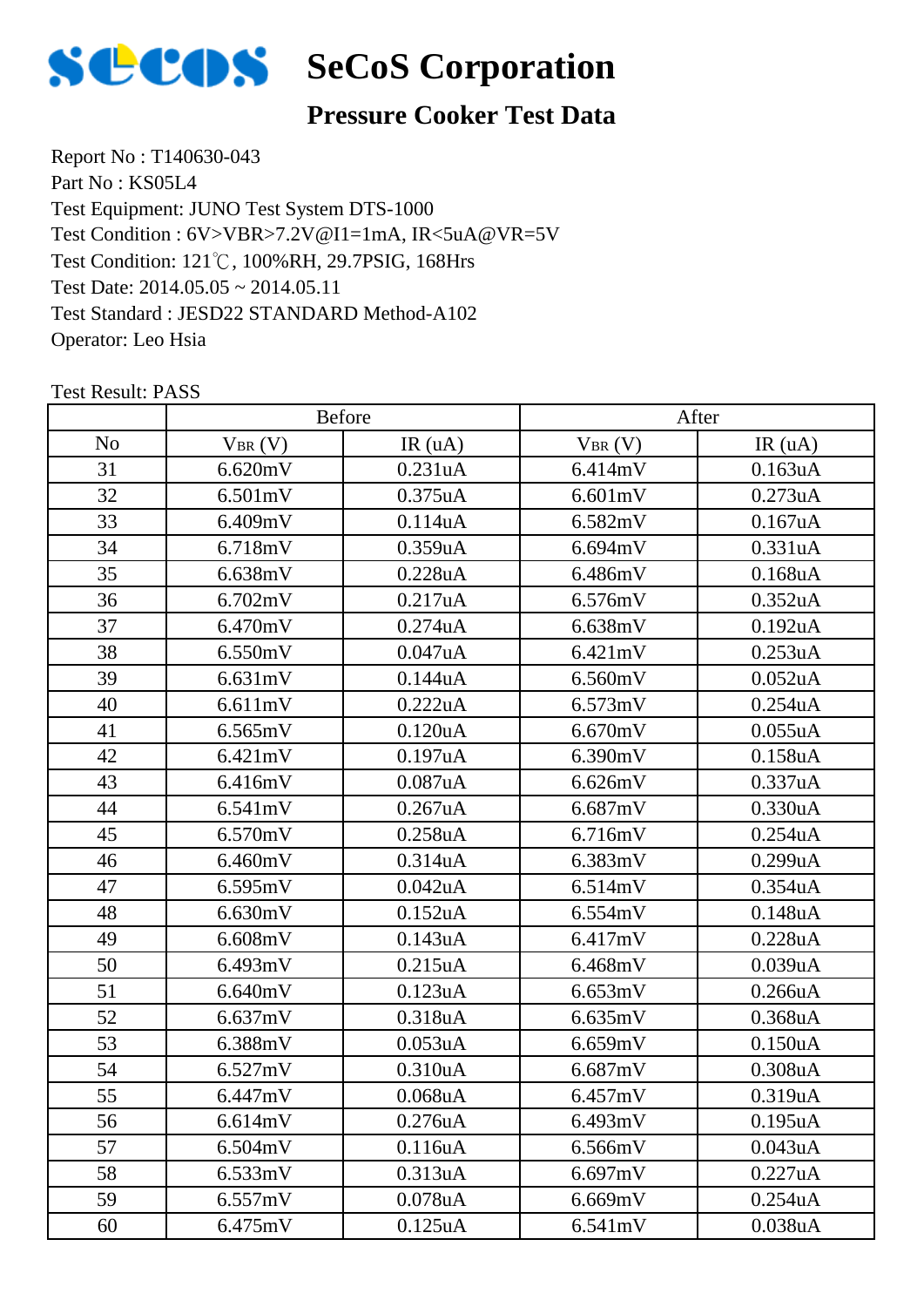

#### **Pressure Cooker Test Data**

Report No : T140630-043 Part No : KS05L4 Test Equipment: JUNO Test System DTS-1000 Test Condition: 121℃, 100%RH, 29.7PSIG, 168Hrs Test Date: 2014.05.05 ~ 2014.05.11 Test Standard : JESD22 STANDARD Method-A102 Operator: Leo Hsia Test Condition : 6V>VBR>7.2V@I1=1mA, IR<5uA@VR=5V

|                |             | <b>Before</b>        |             | After                |  |
|----------------|-------------|----------------------|-------------|----------------------|--|
| N <sub>o</sub> | $V_{BR}(V)$ | IR(uA)               | $V_{BR}(V)$ | IR(uA)               |  |
| 31             | 6.620mV     | 0.231uA              | 6.414mV     | 0.163uA              |  |
| 32             | 6.501mV     | 0.375uA              | 6.601mV     | 0.273uA              |  |
| 33             | 6.409mV     | 0.114uA              | 6.582mV     | 0.167uA              |  |
| 34             | 6.718mV     | 0.359uA              | 6.694mV     | 0.331uA              |  |
| 35             | 6.638mV     | 0.228uA              | 6.486mV     | $0.168$ uA           |  |
| 36             | 6.702mV     | 0.217uA              | 6.576mV     | 0.352 <sub>u</sub> A |  |
| 37             | 6.470mV     | 0.274uA              | 6.638mV     | 0.192uA              |  |
| 38             | 6.550mV     | 0.047uA              | 6.421mV     | 0.253uA              |  |
| 39             | 6.631mV     | 0.144uA              | 6.560mV     | 0.052uA              |  |
| 40             | 6.611mV     | 0.222uA              | 6.573mV     | 0.254uA              |  |
| 41             | 6.565mV     | 0.120 <sub>u</sub> A | 6.670mV     | 0.055uA              |  |
| 42             | 6.421mV     | 0.197uA              | 6.390mV     | 0.158uA              |  |
| 43             | 6.416mV     | 0.087uA              | 6.626mV     | 0.337uA              |  |
| 44             | 6.541mV     | 0.267uA              | 6.687mV     | 0.330uA              |  |
| 45             | 6.570mV     | 0.258uA              | 6.716mV     | 0.254uA              |  |
| 46             | 6.460mV     | 0.314 <sub>u</sub> A | 6.383mV     | 0.299uA              |  |
| 47             | 6.595mV     | 0.042uA              | 6.514mV     | 0.354uA              |  |
| 48             | 6.630mV     | 0.152uA              | 6.554mV     | 0.148uA              |  |
| 49             | 6.608mV     | 0.143uA              | 6.417mV     | 0.228uA              |  |
| 50             | 6.493mV     | 0.215uA              | 6.468mV     | 0.039uA              |  |
| 51             | 6.640mV     | 0.123uA              | 6.653mV     | 0.266uA              |  |
| 52             | 6.637mV     | 0.318uA              | 6.635mV     | 0.368uA              |  |
| 53             | 6.388mV     | 0.053uA              | 6.659mV     | 0.150uA              |  |
| 54             | 6.527mV     | 0.310uA              | 6.687mV     | 0.308uA              |  |
| 55             | 6.447mV     | $0.068$ u $A$        | 6.457mV     | 0.319uA              |  |
| 56             | 6.614mV     | 0.276 <sub>u</sub> A | 6.493mV     | 0.195uA              |  |
| 57             | 6.504mV     | 0.116uA              | 6.566mV     | 0.043uA              |  |
| 58             | 6.533mV     | 0.313uA              | 6.697mV     | 0.227uA              |  |
| 59             | 6.557mV     | 0.078uA              | 6.669mV     | 0.254uA              |  |
| 60             | 6.475mV     | 0.125uA              | 6.541mV     | 0.038uA              |  |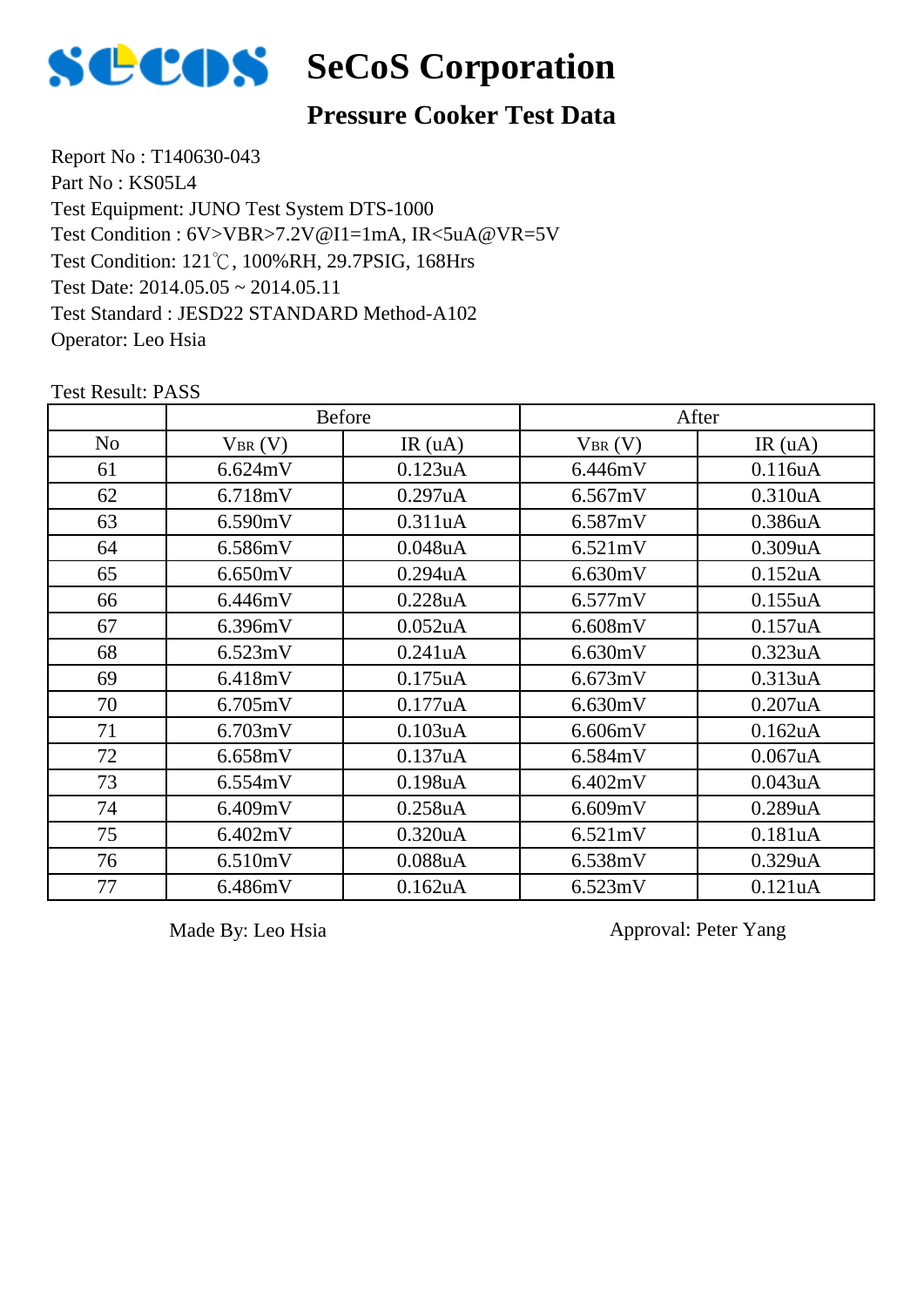

## **SCOS** SeCoS Corporation

#### **Pressure Cooker Test Data**

Report No : T140630-043 Part No : KS05L4 Test Equipment: JUNO Test System DTS-1000 Test Condition: 121℃, 100%RH, 29.7PSIG, 168Hrs Test Date: 2014.05.05 ~ 2014.05.11 Test Standard : JESD22 STANDARD Method-A102 Operator: Leo Hsia Test Condition : 6V>VBR>7.2V@I1=1mA, IR<5uA@VR=5V

No  $V_{BR}(V)$  IR (uA)  $V_{BR}(V)$  IR (uA) Before After 61 | 6.624mV | 0.123uA | 6.446mV | 0.116uA 62 | 6.718mV | 0.297uA | 6.567mV | 0.310uA 63 | 6.590mV | 0.311uA | 6.587mV | 0.386uA 64 | 6.586mV | 0.048uA | 6.521mV | 0.309uA 65 6.650mV 0.294uA 6.630mV 0.152uA 66 | 6.446mV | 0.228uA | 6.577mV | 0.155uA 67 | 6.396mV | 0.052uA | 6.608mV | 0.157uA 68 | 6.523mV | 0.241uA | 6.630mV | 0.323uA 69 | 6.418mV | 0.175uA | 6.673mV | 0.313uA 70 | 6.705mV | 0.177uA | 6.630mV | 0.207uA 71 | 6.703mV | 0.103uA | 6.606mV | 0.162uA 72 | 6.658mV | 0.137uA | 6.584mV | 0.067uA 73 | 6.554mV | 0.198uA | 6.402mV | 0.043uA 74 6.409mV 0.258uA 6.609mV 0.289uA 75 6.402mV 0.320uA 6.521mV 0.181uA 76 | 6.510mV | 0.088uA | 6.538mV | 0.329uA 77 | 6.486mV | 0.162uA | 6.523mV | 0.121uA

Test Result: PASS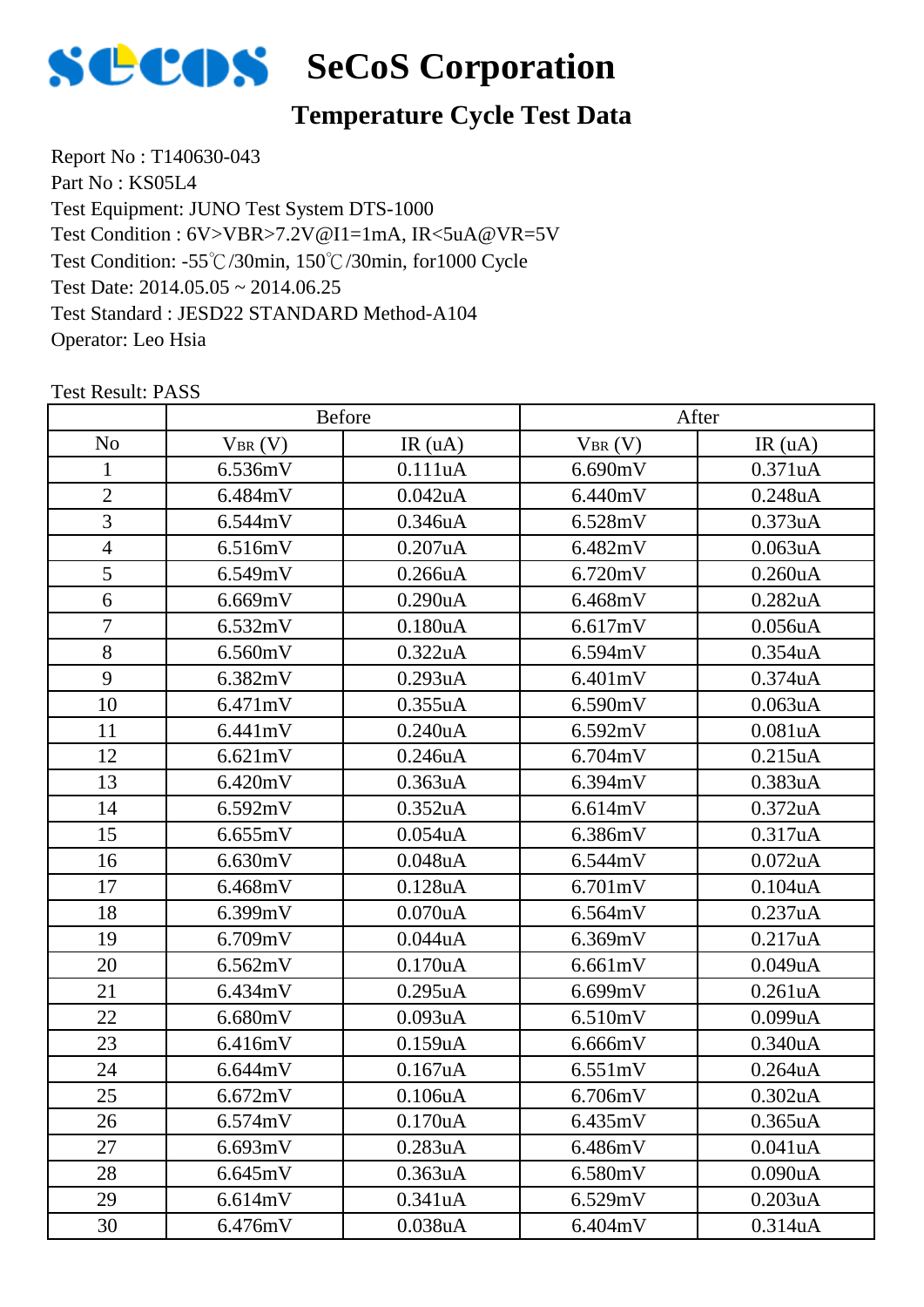

## **Temperature Cycle Test Data**

Report No : T140630-043 Part No : KS05L4 Test Equipment: JUNO Test System DTS-1000 Test Condition: -55℃/30min, 150℃/30min, for1000 Cycle Test Date: 2014.05.05 ~ 2014.06.25 Test Standard : JESD22 STANDARD Method-A104 Operator: Leo Hsia Test Condition : 6V>VBR>7.2V@I1=1mA, IR<5uA@VR=5V

|                | <b>Before</b> |                      | After       |                      |
|----------------|---------------|----------------------|-------------|----------------------|
| N <sub>o</sub> | $V_{BR}(V)$   | IR(uA)               | $V_{BR}(V)$ | IR(uA)               |
| 1              | 6.536mV       | 0.111uA              | 6.690mV     | 0.371uA              |
| $\overline{2}$ | 6.484mV       | 0.042uA              | 6.440mV     | 0.248uA              |
| 3              | 6.544mV       | 0.346uA              | 6.528mV     | 0.373uA              |
| $\overline{4}$ | 6.516mV       | 0.207uA              | 6.482mV     | 0.063uA              |
| 5              | 6.549mV       | 0.266uA              | 6.720mV     | 0.260uA              |
| 6              | 6.669mV       | 0.290uA              | 6.468mV     | 0.282uA              |
| $\overline{7}$ | 6.532mV       | 0.180uA              | 6.617mV     | 0.056uA              |
| 8              | 6.560mV       | 0.322uA              | 6.594mV     | 0.354uA              |
| 9              | 6.382mV       | 0.293uA              | 6.401mV     | 0.374uA              |
| 10             | 6.471mV       | 0.355uA              | 6.590mV     | 0.063uA              |
| 11             | 6.441mV       | 0.240 <sub>u</sub> A | 6.592mV     | 0.081uA              |
| 12             | 6.621mV       | 0.246uA              | 6.704mV     | 0.215uA              |
| 13             | 6.420mV       | 0.363uA              | 6.394mV     | 0.383uA              |
| 14             | 6.592mV       | 0.352uA              | 6.614mV     | 0.372uA              |
| 15             | 6.655mV       | $0.054$ u $A$        | 6.386mV     | 0.317uA              |
| 16             | 6.630mV       | 0.048uA              | 6.544mV     | $0.072$ uA           |
| 17             | 6.468mV       | 0.128uA              | 6.701mV     | 0.104uA              |
| 18             | 6.399mV       | $0.070$ u $A$        | 6.564mV     | 0.237uA              |
| 19             | 6.709mV       | 0.044uA              | 6.369mV     | 0.217uA              |
| 20             | 6.562mV       | 0.170uA              | 6.661mV     | 0.049uA              |
| 21             | 6.434mV       | 0.295uA              | 6.699mV     | 0.261uA              |
| 22             | 6.680mV       | 0.093uA              | 6.510mV     | 0.099uA              |
| 23             | 6.416mV       | 0.159uA              | 6.666mV     | 0.340uA              |
| 24             | 6.644mV       | 0.167uA              | 6.551mV     | 0.264uA              |
| 25             | 6.672mV       | 0.106uA              | 6.706mV     | 0.302uA              |
| 26             | 6.574mV       | 0.170 <sub>u</sub> A | 6.435mV     | 0.365 <sub>u</sub> A |
| 27             | 6.693mV       | 0.283uA              | 6.486mV     | 0.041uA              |
| 28             | 6.645mV       | 0.363uA              | 6.580mV     | 0.090uA              |
| 29             | 6.614mV       | 0.341uA              | 6.529mV     | 0.203uA              |
| 30             | 6.476mV       | 0.038uA              | 6.404mV     | 0.314uA              |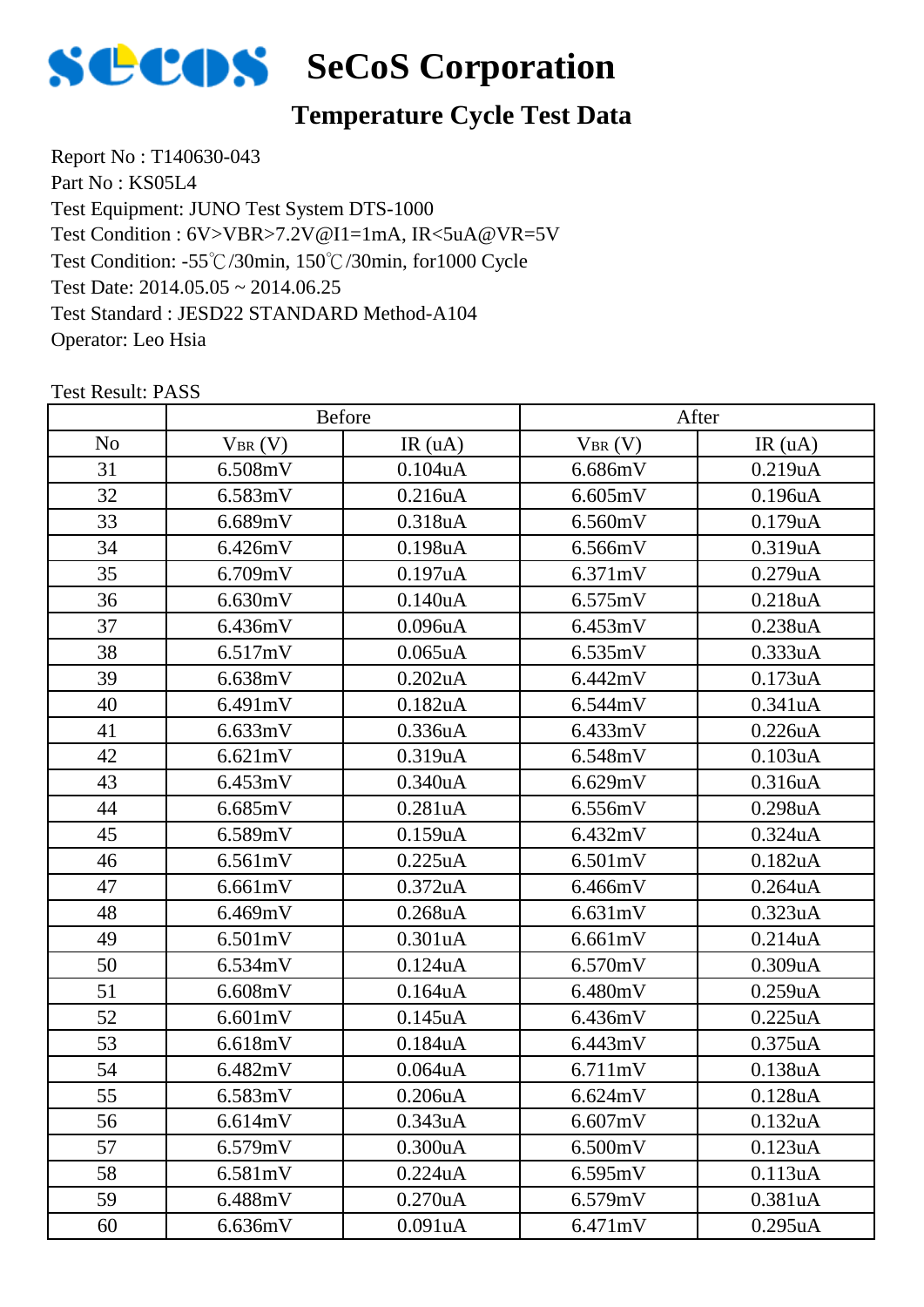

## **Temperature Cycle Test Data**

Report No : T140630-043 Part No : KS05L4 Test Equipment: JUNO Test System DTS-1000 Test Condition: -55℃/30min, 150℃/30min, for1000 Cycle Test Date: 2014.05.05 ~ 2014.06.25 Test Standard : JESD22 STANDARD Method-A104 Operator: Leo Hsia Test Condition : 6V>VBR>7.2V@I1=1mA, IR<5uA@VR=5V

|                |             | Before               |             | After         |  |
|----------------|-------------|----------------------|-------------|---------------|--|
| N <sub>o</sub> | $V_{BR}(V)$ | IR(uA)               | $V_{BR}(V)$ | IR(uA)        |  |
| 31             | 6.508mV     | 0.104uA              | 6.686mV     | 0.219uA       |  |
| 32             | 6.583mV     | 0.216uA              | 6.605mV     | 0.196uA       |  |
| 33             | 6.689mV     | 0.318uA              | 6.560mV     | 0.179uA       |  |
| 34             | 6.426mV     | 0.198uA              | 6.566mV     | 0.319uA       |  |
| 35             | 6.709mV     | 0.197uA              | 6.371mV     | 0.279uA       |  |
| 36             | 6.630mV     | 0.140 <sub>u</sub> A | 6.575mV     | 0.218uA       |  |
| 37             | 6.436mV     | 0.096uA              | 6.453mV     | 0.238uA       |  |
| 38             | 6.517mV     | $0.065$ uA           | 6.535mV     | 0.333uA       |  |
| 39             | 6.638mV     | 0.202uA              | 6.442mV     | 0.173uA       |  |
| 40             | 6.491mV     | $0.182$ uA           | 6.544mV     | 0.341uA       |  |
| 41             | 6.633mV     | 0.336uA              | 6.433mV     | 0.226uA       |  |
| 42             | 6.621mV     | 0.319uA              | 6.548mV     | 0.103uA       |  |
| 43             | 6.453mV     | $0.340$ uA           | 6.629mV     | 0.316uA       |  |
| 44             | 6.685mV     | 0.281uA              | 6.556mV     | 0.298uA       |  |
| 45             | 6.589mV     | 0.159uA              | 6.432mV     | 0.324uA       |  |
| 46             | 6.561mV     | 0.225uA              | 6.501mV     | 0.182uA       |  |
| 47             | 6.661mV     | 0.372uA              | 6.466mV     | $0.264$ u $A$ |  |
| 48             | 6.469mV     | $0.268$ uA           | 6.631mV     | 0.323uA       |  |
| 49             | 6.501mV     | 0.301uA              | 6.661mV     | 0.214uA       |  |
| 50             | 6.534mV     | 0.124uA              | 6.570mV     | 0.309uA       |  |
| 51             | 6.608mV     | $0.164$ uA           | 6.480mV     | 0.259uA       |  |
| 52             | 6.601mV     | 0.145uA              | 6.436mV     | 0.225uA       |  |
| 53             | 6.618mV     | 0.184uA              | 6.443mV     | 0.375uA       |  |
| 54             | 6.482mV     | $0.064$ u $A$        | 6.711mV     | 0.138uA       |  |
| 55             | 6.583mV     | 0.206uA              | 6.624mV     | 0.128uA       |  |
| 56             | 6.614mV     | 0.343uA              | 6.607mV     | 0.132uA       |  |
| 57             | 6.579mV     | 0.300uA              | 6.500mV     | 0.123uA       |  |
| 58             | 6.581mV     | 0.224uA              | 6.595mV     | 0.113uA       |  |
| 59             | 6.488mV     | 0.270 <sub>u</sub> A | 6.579mV     | 0.381uA       |  |
| 60             | 6.636mV     | 0.091uA              | 6.471mV     | 0.295uA       |  |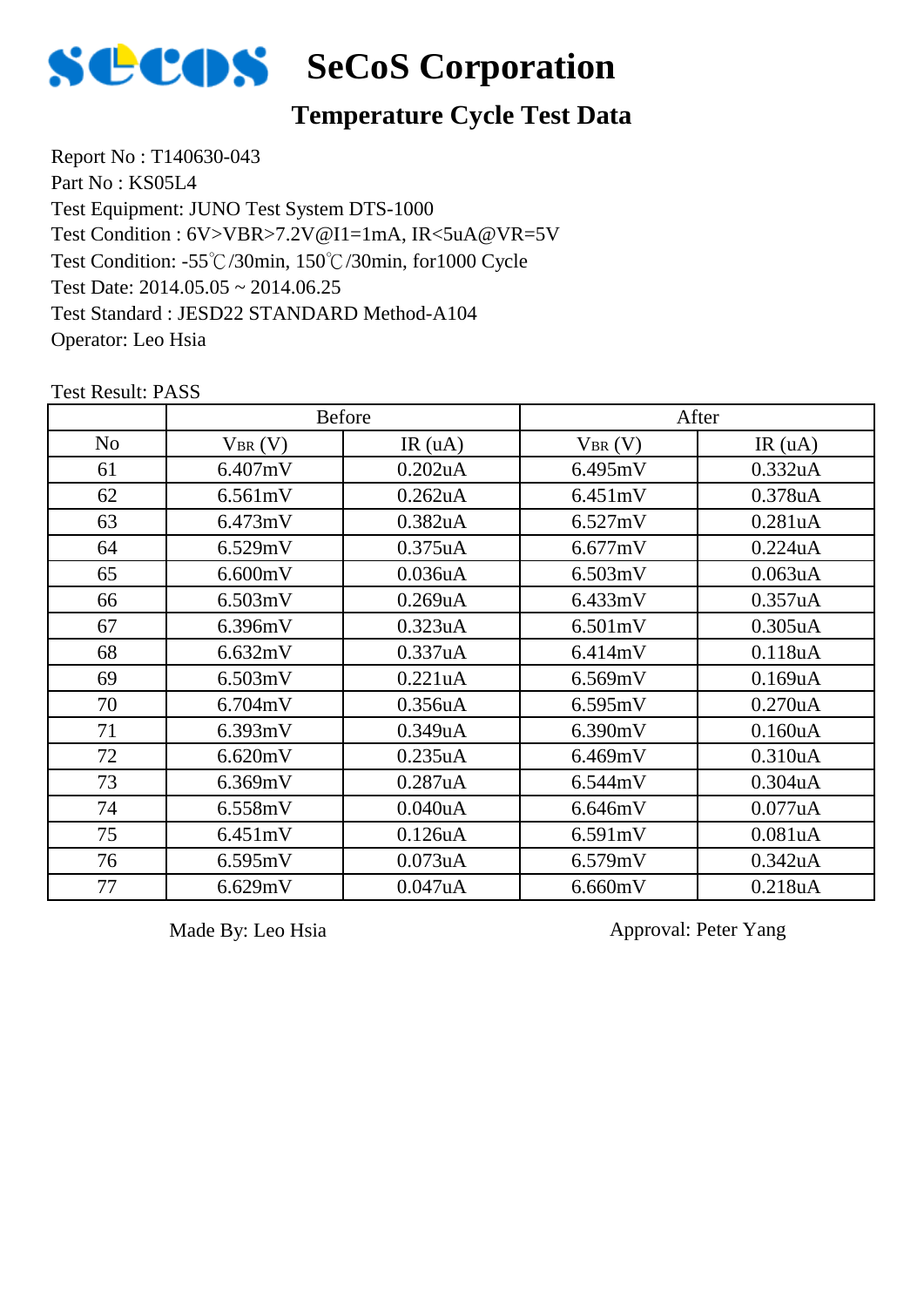

### **Temperature Cycle Test Data**

Report No : T140630-043 Part No : KS05L4 Test Equipment: JUNO Test System DTS-1000 Test Condition: -55℃/30min, 150℃/30min, for1000 Cycle Test Date: 2014.05.05 ~ 2014.06.25 Test Standard : JESD22 STANDARD Method-A104 Operator: Leo Hsia Test Condition : 6V>VBR>7.2V@I1=1mA, IR<5uA@VR=5V

|                | <b>Before</b> |                      | After       |                      |
|----------------|---------------|----------------------|-------------|----------------------|
| N <sub>o</sub> | $V_{BR}(V)$   | IR(uA)               | $V_{BR}(V)$ | IR(uA)               |
| 61             | 6.407mV       | 0.202uA              | 6.495mV     | 0.332uA              |
| 62             | 6.561mV       | 0.262uA              | 6.451mV     | 0.378uA              |
| 63             | 6.473mV       | 0.382uA              | 6.527mV     | 0.281uA              |
| 64             | 6.529mV       | $0.375$ uA           | 6.677mV     | 0.224uA              |
| 65             | 6.600mV       | 0.036uA              | 6.503mV     | 0.063uA              |
| 66             | 6.503mV       | $0.269$ u $A$        | 6.433mV     | 0.357uA              |
| 67             | 6.396mV       | 0.323uA              | 6.501mV     | $0.305$ uA           |
| 68             | 6.632mV       | 0.337uA              | 6.414mV     | 0.118uA              |
| 69             | 6.503mV       | 0.221uA              | 6.569mV     | $0.169$ u $A$        |
| 70             | 6.704mV       | 0.356 <sub>u</sub> A | 6.595mV     | 0.270 <sub>u</sub> A |
| 71             | 6.393mV       | 0.349uA              | 6.390mV     | 0.160uA              |
| 72             | 6.620mV       | 0.235uA              | 6.469mV     | 0.310 <sub>u</sub> A |
| 73             | 6.369mV       | 0.287uA              | 6.544mV     | 0.304 <sub>u</sub> A |
| 74             | 6.558mV       | 0.040 <sub>u</sub> A | 6.646mV     | 0.077uA              |
| 75             | 6.451mV       | 0.126 <sub>u</sub> A | 6.591mV     | 0.081 <sub>u</sub> A |
| 76             | 6.595mV       | 0.073uA              | 6.579mV     | 0.342uA              |
| 77             | 6.629mV       | 0.047uA              | 6.660mV     | 0.218uA              |

Test Result: PASS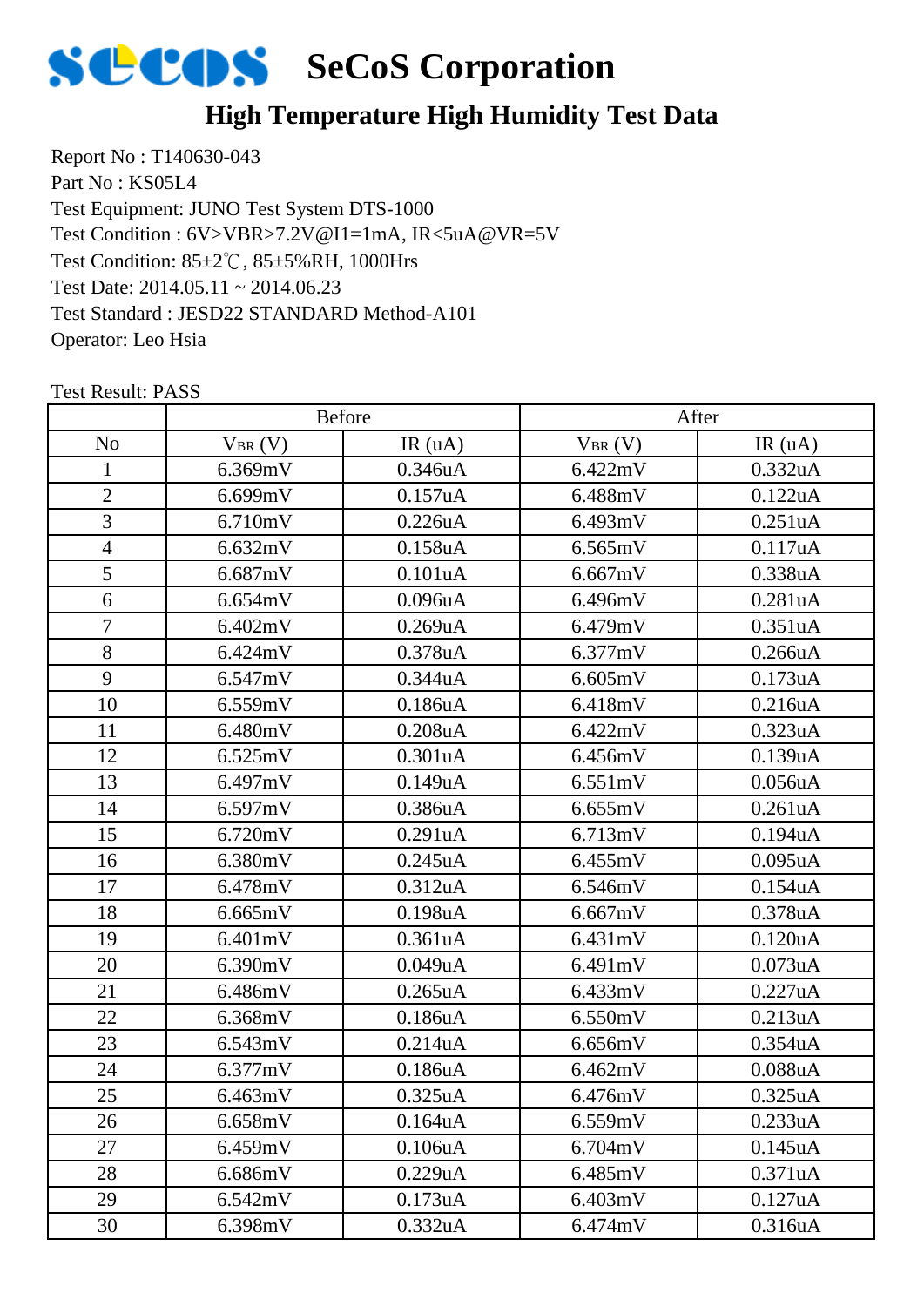

## **High Temperature High Humidity Test Data**

Report No : T140630-043 Part No : KS05L4 Test Equipment: JUNO Test System DTS-1000 Test Condition: 85±2℃, 85±5%RH, 1000Hrs Test Date: 2014.05.11 ~ 2014.06.23 Test Standard : JESD22 STANDARD Method-A101 Operator: Leo Hsia Test Condition : 6V>VBR>7.2V@I1=1mA, IR<5uA@VR=5V

|                | <b>Before</b> |                      | After       |         |
|----------------|---------------|----------------------|-------------|---------|
| N <sub>o</sub> | $V_{BR}(V)$   | IR(uA)               | $V_{BR}(V)$ | IR(uA)  |
| 1              | 6.369mV       | 0.346uA              | 6.422mV     | 0.332uA |
| $\overline{2}$ | 6.699mV       | 0.157uA              | 6.488mV     | 0.122uA |
| 3              | 6.710mV       | 0.226uA              | 6.493mV     | 0.251uA |
| $\overline{4}$ | 6.632mV       | 0.158uA              | 6.565mV     | 0.117uA |
| $\overline{5}$ | 6.687mV       | 0.101uA              | 6.667mV     | 0.338uA |
| 6              | 6.654mV       | $0.096$ u $A$        | 6.496mV     | 0.281uA |
| $\overline{7}$ | 6.402mV       | 0.269uA              | 6.479mV     | 0.351uA |
| 8              | 6.424mV       | 0.378uA              | 6.377mV     | 0.266uA |
| 9              | 6.547mV       | 0.344uA              | 6.605mV     | 0.173uA |
| 10             | 6.559mV       | 0.186uA              | 6.418mV     | 0.216uA |
| 11             | 6.480mV       | $0.208$ u $A$        | 6.422mV     | 0.323uA |
| 12             | 6.525mV       | 0.301uA              | 6.456mV     | 0.139uA |
| 13             | 6.497mV       | 0.149uA              | 6.551mV     | 0.056uA |
| 14             | 6.597mV       | 0.386uA              | 6.655mV     | 0.261uA |
| 15             | 6.720mV       | 0.291uA              | 6.713mV     | 0.194uA |
| 16             | 6.380mV       | 0.245uA              | 6.455mV     | 0.095uA |
| 17             | 6.478mV       | 0.312uA              | 6.546mV     | 0.154uA |
| 18             | 6.665mV       | 0.198uA              | 6.667mV     | 0.378uA |
| 19             | 6.401mV       | 0.361uA              | 6.431mV     | 0.120uA |
| 20             | 6.390mV       | 0.049uA              | 6.491mV     | 0.073uA |
| 21             | 6.486mV       | $0.265$ uA           | 6.433mV     | 0.227uA |
| 22             | 6.368mV       | 0.186uA              | 6.550mV     | 0.213uA |
| 23             | 6.543mV       | 0.214uA              | 6.656mV     | 0.354uA |
| 24             | 6.377mV       | 0.186uA              | 6.462mV     | 0.088uA |
| 25             | 6.463mV       | 0.325uA              | 6.476mV     | 0.325uA |
| 26             | 6.658mV       | 0.164 <sub>u</sub> A | 6.559mV     | 0.233uA |
| 27             | 6.459mV       | 0.106uA              | 6.704mV     | 0.145uA |
| 28             | 6.686mV       | 0.229uA              | 6.485mV     | 0.371uA |
| 29             | 6.542mV       | 0.173uA              | 6.403mV     | 0.127uA |
| 30             | 6.398mV       | 0.332uA              | 6.474mV     | 0.316uA |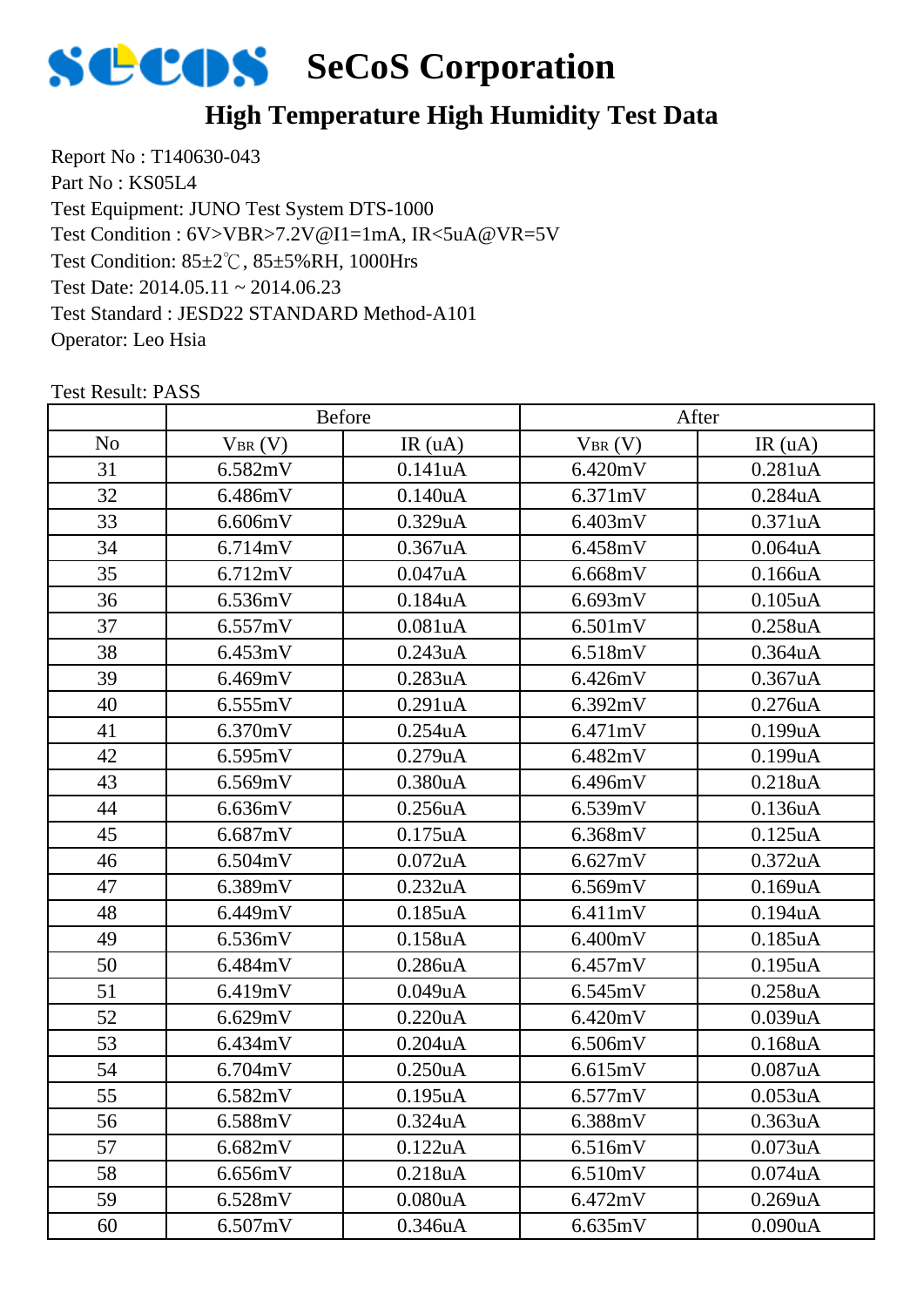

## **High Temperature High Humidity Test Data**

Report No : T140630-043 Part No : KS05L4 Test Equipment: JUNO Test System DTS-1000 Test Condition: 85±2℃, 85±5%RH, 1000Hrs Test Date: 2014.05.11 ~ 2014.06.23 Test Standard : JESD22 STANDARD Method-A101 Operator: Leo Hsia Test Condition : 6V>VBR>7.2V@I1=1mA, IR<5uA@VR=5V

|                |             | Before               |             | After                |  |
|----------------|-------------|----------------------|-------------|----------------------|--|
| N <sub>o</sub> | $V_{BR}(V)$ | IR(uA)               | $V_{BR}(V)$ | IR(uA)               |  |
| 31             | 6.582mV     | 0.141uA              | 6.420mV     | 0.281uA              |  |
| 32             | 6.486mV     | 0.140uA              | 6.371mV     | 0.284uA              |  |
| 33             | 6.606mV     | 0.329uA              | 6.403mV     | 0.371uA              |  |
| 34             | 6.714mV     | 0.367uA              | 6.458mV     | 0.064uA              |  |
| 35             | 6.712mV     | 0.047uA              | 6.668mV     | 0.166uA              |  |
| 36             | 6.536mV     | 0.184uA              | 6.693mV     | $0.105$ uA           |  |
| 37             | 6.557mV     | 0.081uA              | 6.501mV     | 0.258uA              |  |
| 38             | 6.453mV     | 0.243uA              | 6.518mV     | 0.364uA              |  |
| 39             | 6.469mV     | 0.283uA              | 6.426mV     | 0.367uA              |  |
| 40             | 6.555mV     | 0.291uA              | 6.392mV     | 0.276uA              |  |
| 41             | 6.370mV     | $0.254$ uA           | 6.471mV     | $0.199$ u $A$        |  |
| 42             | 6.595mV     | 0.279uA              | 6.482mV     | 0.199uA              |  |
| 43             | 6.569mV     | 0.380uA              | 6.496mV     | 0.218uA              |  |
| 44             | 6.636mV     | 0.256uA              | 6.539mV     | 0.136uA              |  |
| 45             | 6.687mV     | $0.175$ uA           | 6.368mV     | 0.125uA              |  |
| 46             | 6.504mV     | $0.072$ uA           | 6.627mV     | 0.372 <sub>u</sub> A |  |
| 47             | 6.389mV     | 0.232uA              | 6.569mV     | 0.169uA              |  |
| 48             | 6.449mV     | $0.185$ uA           | 6.411mV     | 0.194uA              |  |
| 49             | 6.536mV     | 0.158uA              | 6.400mV     | 0.185uA              |  |
| 50             | 6.484mV     | 0.286uA              | 6.457mV     | 0.195uA              |  |
| 51             | 6.419mV     | 0.049uA              | 6.545mV     | 0.258uA              |  |
| 52             | 6.629mV     | 0.220uA              | 6.420mV     | 0.039uA              |  |
| 53             | 6.434mV     | $0.204$ u $A$        | 6.506mV     | $0.168$ u $A$        |  |
| 54             | 6.704mV     | 0.250uA              | 6.615mV     | 0.087uA              |  |
| 55             | 6.582mV     | 0.195uA              | 6.577mV     | 0.053uA              |  |
| 56             | 6.588mV     | 0.324 <sub>u</sub> A | 6.388mV     | 0.363 <sub>u</sub> A |  |
| 57             | 6.682mV     | 0.122uA              | 6.516mV     | 0.073uA              |  |
| 58             | 6.656mV     | 0.218uA              | 6.510mV     | $0.074$ u $A$        |  |
| 59             | 6.528mV     | 0.080uA              | 6.472mV     | 0.269uA              |  |
| 60             | 6.507mV     | 0.346uA              | 6.635mV     | 0.090uA              |  |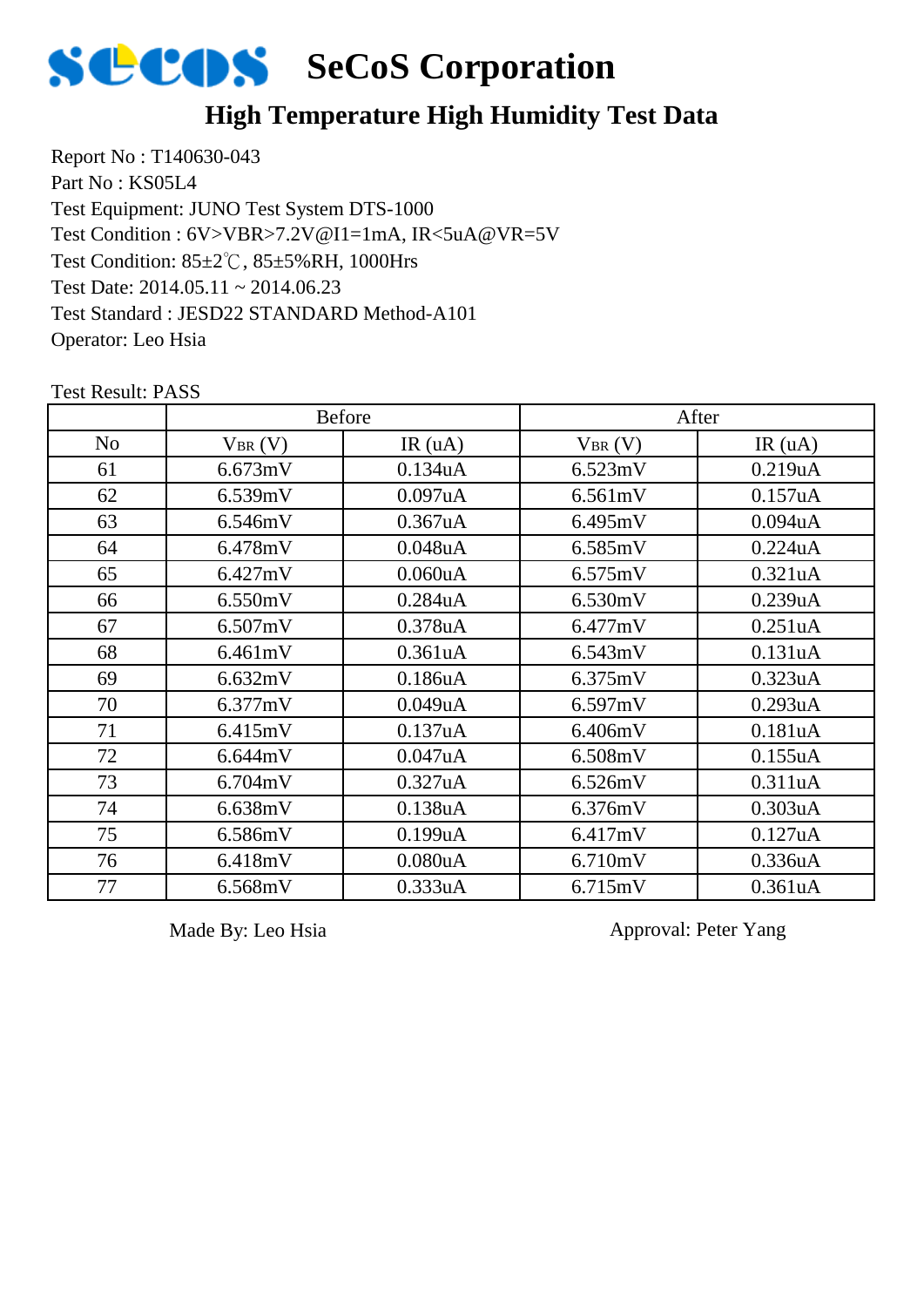

## **High Temperature High Humidity Test Data**

Report No : T140630-043 Part No : KS05L4 Test Equipment: JUNO Test System DTS-1000 Test Condition: 85±2℃, 85±5%RH, 1000Hrs Test Date: 2014.05.11 ~ 2014.06.23 Test Standard : JESD22 STANDARD Method-A101 Operator: Leo Hsia Test Condition : 6V>VBR>7.2V@I1=1mA, IR<5uA@VR=5V

|                |             | <b>Before</b>        |             | After                |
|----------------|-------------|----------------------|-------------|----------------------|
| N <sub>o</sub> | $V_{BR}(V)$ | IR(uA)               | $V_{BR}(V)$ | IR(uA)               |
| 61             | 6.673mV     | 0.134uA              | 6.523mV     | 0.219uA              |
| 62             | 6.539mV     | 0.097uA              | 6.561mV     | 0.157uA              |
| 63             | 6.546mV     | $0.367$ uA           | 6.495mV     | $0.094$ u $A$        |
| 64             | 6.478mV     | 0.048uA              | 6.585mV     | 0.224uA              |
| 65             | 6.427mV     | 0.060uA              | 6.575mV     | 0.321uA              |
| 66             | 6.550mV     | 0.284uA              | 6.530mV     | 0.239uA              |
| 67             | 6.507mV     | 0.378uA              | 6.477mV     | 0.251 <sub>u</sub> A |
| 68             | 6.461mV     | 0.361 <sub>u</sub> A | 6.543mV     | 0.131uA              |
| 69             | 6.632mV     | 0.186 <sub>u</sub> A | 6.375mV     | 0.323uA              |
| 70             | 6.377mV     | 0.049uA              | 6.597mV     | 0.293uA              |
| 71             | 6.415mV     | 0.137uA              | 6.406mV     | 0.181uA              |
| 72             | 6.644mV     | 0.047uA              | 6.508mV     | 0.155uA              |
| 73             | 6.704mV     | 0.327uA              | 6.526mV     | 0.311uA              |
| 74             | 6.638mV     | 0.138uA              | 6.376mV     | 0.303uA              |
| 75             | 6.586mV     | 0.199uA              | 6.417mV     | 0.127uA              |
| 76             | 6.418mV     | 0.080 <sub>u</sub> A | 6.710mV     | 0.336uA              |
| 77             | 6.568mV     | 0.333uA              | 6.715mV     | 0.361 <sub>u</sub> A |

Test Result: PASS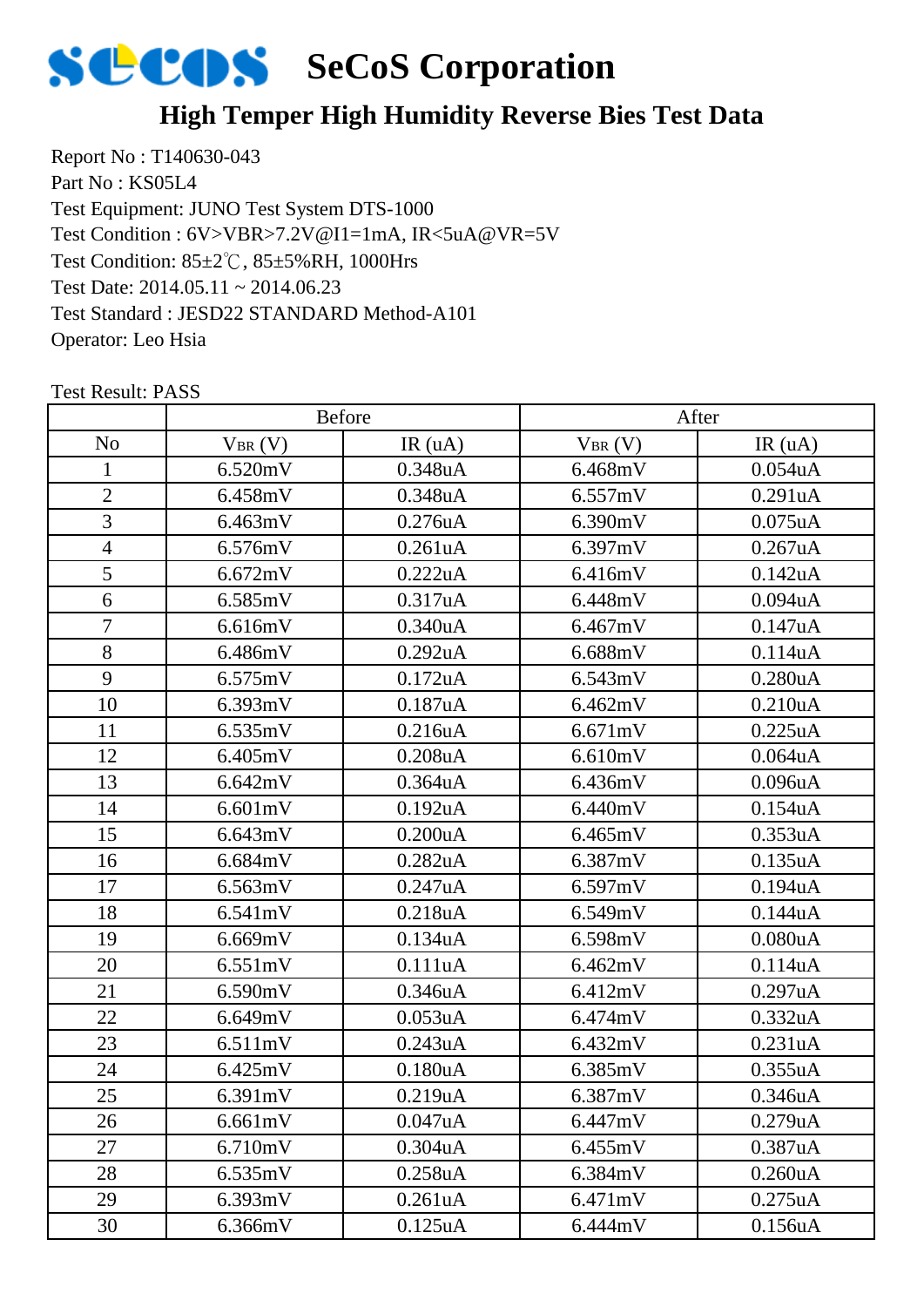

## **High Temper High Humidity Reverse Bies Test Data**

Report No : T140630-043 Part No : KS05L4 Test Equipment: JUNO Test System DTS-1000 Test Condition: 85±2℃, 85±5%RH, 1000Hrs Test Date: 2014.05.11 ~ 2014.06.23 Test Standard : JESD22 STANDARD Method-A101 Operator: Leo Hsia Test Condition : 6V>VBR>7.2V@I1=1mA, IR<5uA@VR=5V

|                |             | <b>Before</b> |             | After      |  |
|----------------|-------------|---------------|-------------|------------|--|
| N <sub>o</sub> | $V_{BR}(V)$ | IR(uA)        | $V_{BR}(V)$ | IR(uA)     |  |
| 1              | 6.520mV     | 0.348uA       | 6.468mV     | 0.054uA    |  |
| $\overline{2}$ | 6.458mV     | 0.348uA       | 6.557mV     | 0.291uA    |  |
| 3              | 6.463mV     | 0.276uA       | 6.390mV     | $0.075$ uA |  |
| $\overline{4}$ | 6.576mV     | 0.261uA       | 6.397mV     | 0.267uA    |  |
| 5              | 6.672mV     | 0.222uA       | 6.416mV     | 0.142uA    |  |
| 6              | 6.585mV     | 0.317uA       | 6.448mV     | 0.094uA    |  |
| $\tau$         | 6.616mV     | 0.340uA       | 6.467mV     | 0.147uA    |  |
| 8              | 6.486mV     | 0.292uA       | 6.688mV     | 0.114uA    |  |
| 9              | 6.575mV     | 0.172uA       | 6.543mV     | 0.280uA    |  |
| 10             | 6.393mV     | 0.187uA       | 6.462mV     | 0.210uA    |  |
| 11             | 6.535mV     | 0.216uA       | 6.671mV     | 0.225uA    |  |
| 12             | 6.405mV     | $0.208$ u $A$ | 6.610mV     | 0.064uA    |  |
| 13             | 6.642mV     | 0.364uA       | 6.436mV     | 0.096uA    |  |
| 14             | 6.601mV     | 0.192uA       | 6.440mV     | 0.154uA    |  |
| 15             | 6.643mV     | 0.200uA       | 6.465mV     | 0.353uA    |  |
| 16             | 6.684mV     | 0.282uA       | 6.387mV     | 0.135uA    |  |
| 17             | 6.563mV     | 0.247uA       | 6.597mV     | 0.194uA    |  |
| 18             | 6.541mV     | 0.218uA       | 6.549mV     | 0.144uA    |  |
| 19             | 6.669mV     | 0.134uA       | 6.598mV     | 0.080uA    |  |
| 20             | 6.551mV     | 0.111uA       | 6.462mV     | 0.114uA    |  |
| 21             | 6.590mV     | 0.346uA       | 6.412mV     | 0.297uA    |  |
| 22             | 6.649mV     | 0.053uA       | 6.474mV     | 0.332uA    |  |
| 23             | 6.511mV     | 0.243uA       | 6.432mV     | 0.231uA    |  |
| 24             | 6.425mV     | 0.180uA       | 6.385mV     | 0.355uA    |  |
| 25             | 6.391mV     | 0.219uA       | 6.387mV     | 0.346uA    |  |
| 26             | 6.661mV     | 0.047uA       | 6.447mV     | 0.279uA    |  |
| 27             | 6.710mV     | 0.304uA       | 6.455mV     | 0.387uA    |  |
| 28             | 6.535mV     | 0.258uA       | 6.384mV     | 0.260uA    |  |
| 29             | 6.393mV     | 0.261uA       | 6.471mV     | 0.275uA    |  |
| 30             | 6.366mV     | 0.125uA       | 6.444mV     | 0.156uA    |  |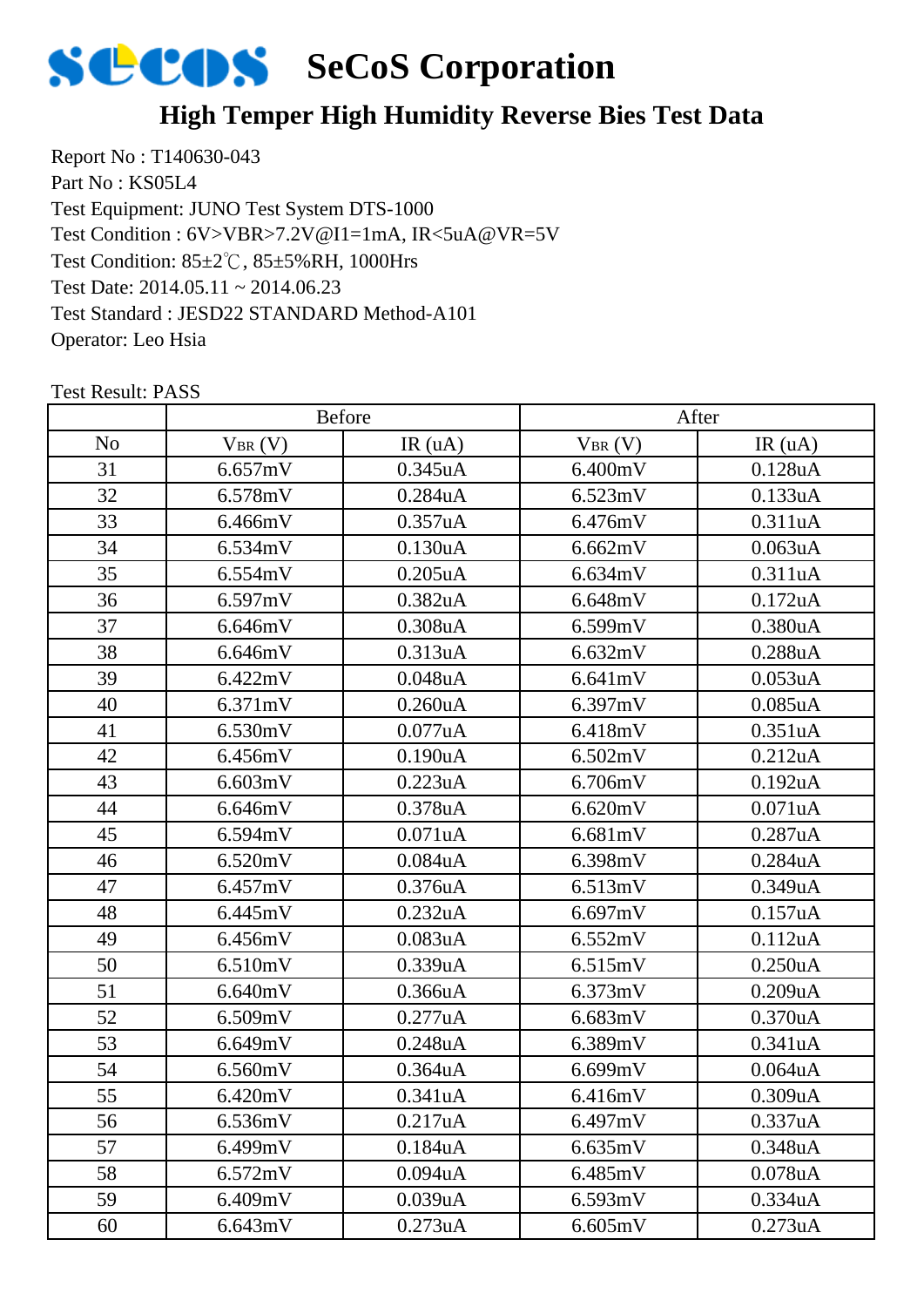

## **High Temper High Humidity Reverse Bies Test Data**

Report No : T140630-043 Part No : KS05L4 Test Equipment: JUNO Test System DTS-1000 Test Condition: 85±2℃, 85±5%RH, 1000Hrs Test Date: 2014.05.11 ~ 2014.06.23 Test Standard : JESD22 STANDARD Method-A101 Operator: Leo Hsia Test Condition : 6V>VBR>7.2V@I1=1mA, IR<5uA@VR=5V

|                | <b>Before</b> |                      | After       |            |
|----------------|---------------|----------------------|-------------|------------|
| N <sub>o</sub> | $V_{BR}(V)$   | IR(uA)               | $V_{BR}(V)$ | IR(uA)     |
| 31             | 6.657mV       | 0.345uA              | 6.400mV     | 0.128uA    |
| 32             | 6.578mV       | 0.284uA              | 6.523mV     | 0.133uA    |
| 33             | 6.466mV       | 0.357uA              | 6.476mV     | 0.311uA    |
| 34             | 6.534mV       | 0.130uA              | 6.662mV     | 0.063uA    |
| 35             | 6.554mV       | $0.205$ uA           | 6.634mV     | 0.311uA    |
| 36             | 6.597mV       | 0.382uA              | 6.648mV     | 0.172uA    |
| 37             | 6.646mV       | 0.308uA              | 6.599mV     | 0.380uA    |
| 38             | 6.646mV       | 0.313uA              | 6.632mV     | 0.288uA    |
| 39             | 6.422mV       | 0.048uA              | 6.641mV     | 0.053uA    |
| 40             | 6.371mV       | 0.260 <sub>u</sub> A | 6.397mV     | $0.085$ uA |
| 41             | 6.530mV       | $0.077$ uA           | 6.418mV     | 0.351uA    |
| 42             | 6.456mV       | 0.190uA              | 6.502mV     | 0.212uA    |
| 43             | 6.603mV       | 0.223uA              | 6.706mV     | 0.192uA    |
| 44             | 6.646mV       | 0.378uA              | 6.620mV     | 0.071uA    |
| 45             | 6.594mV       | 0.071uA              | 6.681mV     | 0.287uA    |
| 46             | 6.520mV       | 0.084uA              | 6.398mV     | 0.284uA    |
| 47             | 6.457mV       | 0.376uA              | 6.513mV     | 0.349uA    |
| 48             | 6.445mV       | 0.232uA              | 6.697mV     | 0.157uA    |
| 49             | 6.456mV       | 0.083uA              | 6.552mV     | 0.112uA    |
| 50             | 6.510mV       | 0.339uA              | 6.515mV     | 0.250uA    |
| 51             | 6.640mV       | 0.366uA              | 6.373mV     | 0.209uA    |
| 52             | 6.509mV       | 0.277uA              | 6.683mV     | 0.370uA    |
| 53             | 6.649mV       | 0.248uA              | 6.389mV     | 0.341uA    |
| 54             | 6.560mV       | 0.364uA              | 6.699mV     | 0.064uA    |
| 55             | 6.420mV       | 0.341uA              | 6.416mV     | 0.309uA    |
| 56             | 6.536mV       | 0.217uA              | 6.497mV     | 0.337uA    |
| 57             | 6.499mV       | 0.184uA              | 6.635mV     | 0.348uA    |
| 58             | 6.572mV       | 0.094uA              | 6.485mV     | 0.078uA    |
| 59             | 6.409mV       | 0.039uA              | 6.593mV     | 0.334uA    |
| 60             | 6.643mV       | 0.273uA              | 6.605mV     | 0.273uA    |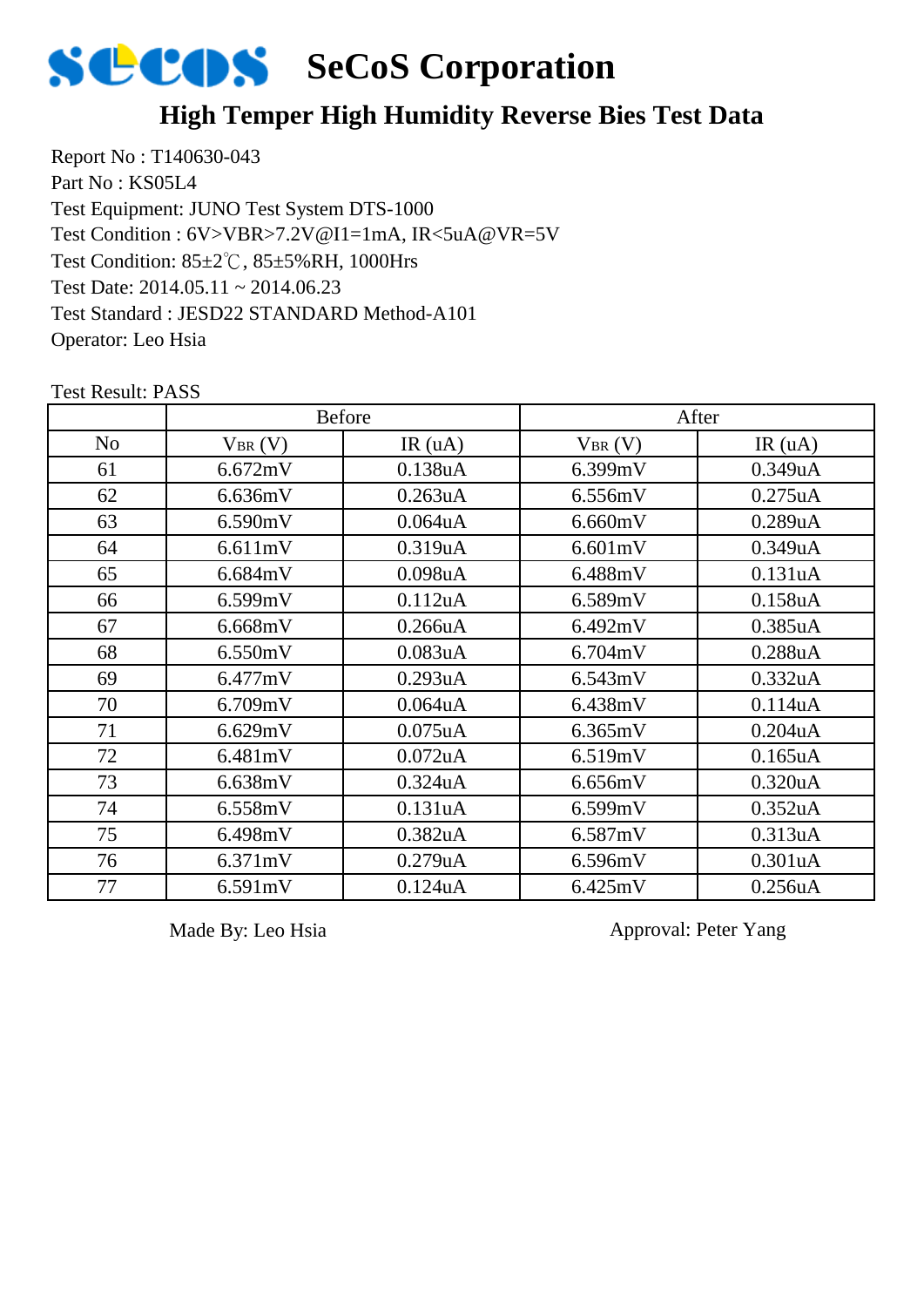

### **High Temper High Humidity Reverse Bies Test Data**

Report No : T140630-043 Part No : KS05L4 Test Equipment: JUNO Test System DTS-1000 Test Condition: 85±2℃, 85±5%RH, 1000Hrs Test Date: 2014.05.11 ~ 2014.06.23 Test Standard : JESD22 STANDARD Method-A101 Operator: Leo Hsia Test Condition : 6V>VBR>7.2V@I1=1mA, IR<5uA@VR=5V

|                | <b>Before</b> |                      | After       |                      |  |
|----------------|---------------|----------------------|-------------|----------------------|--|
| N <sub>o</sub> | $V_{BR}(V)$   | IR(uA)               | $V_{BR}(V)$ | IR(uA)               |  |
| 61             | 6.672mV       | 0.138uA              | 6.399mV     | 0.349uA              |  |
| 62             | 6.636mV       | 0.263uA              | 6.556mV     | $0.275$ uA           |  |
| 63             | 6.590mV       | $0.064$ u $A$        | 6.660mV     | 0.289uA              |  |
| 64             | 6.611mV       | 0.319uA              | 6.601mV     | 0.349uA              |  |
| 65             | 6.684mV       | 0.098 <sub>u</sub> A | 6.488mV     | 0.131uA              |  |
| 66             | 6.599mV       | 0.112uA              | 6.589mV     | 0.158uA              |  |
| 67             | 6.668mV       | 0.266uA              | 6.492mV     | $0.385$ uA           |  |
| 68             | 6.550mV       | 0.083uA              | 6.704mV     | 0.288uA              |  |
| 69             | 6.477mV       | 0.293uA              | 6.543mV     | 0.332uA              |  |
| 70             | 6.709mV       | $0.064$ u $A$        | 6.438mV     | 0.114uA              |  |
| 71             | 6.629mV       | $0.075$ uA           | 6.365mV     | $0.204$ u $A$        |  |
| 72             | 6.481mV       | $0.072$ uA           | 6.519mV     | $0.165$ uA           |  |
| 73             | 6.638mV       | $0.324$ uA           | 6.656mV     | 0.320 <sub>u</sub> A |  |
| 74             | 6.558mV       | 0.131uA              | 6.599mV     | 0.352 <sub>u</sub> A |  |
| 75             | 6.498mV       | 0.382 <sub>u</sub> A | 6.587mV     | 0.313uA              |  |
| 76             | 6.371mV       | 0.279uA              | 6.596mV     | 0.301uA              |  |
| 77             | 6.591mV       | 0.124uA              | 6.425mV     | 0.256uA              |  |

Test Result: PASS